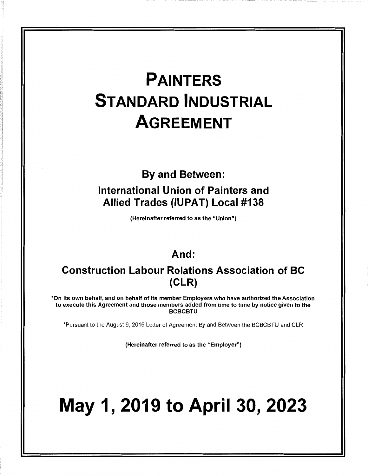## **PAINTERS STANDARD INDUSTRIAL AGREEMENT**

## **By and Between: International Union of Painters and Allied Trades (IUPAT) Local #138**

(Hereinafter referred to as the "Union")

## **And:**

### **Construction Labour Relations Association of BC (CLR)**

\*On its own behalf, and on behalf of its member Employers who have authorized the Association to execute this Agreement and those members added from time to time by notice given to the **BCBCBTU** 

\*Pursuant to the August 9, 2016 Letter of Agreement By and Between the BCBCBTU and CLR

(Hereinafter referred to as the "Employer")

# **May 1, 2019 to April 30, 2023**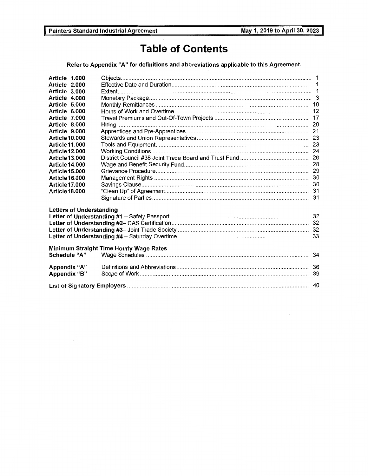## **Table of Contents**

Refer to Appendix "A" for definitions and abbreviations applicable to this Agreement.

| Article 1.000<br>Article 2.000<br>Article 3.000<br>Article 4.000<br>Article 5.000<br>Article 6.000<br>Article 7.000<br>Article 8,000<br>Article 9.000<br>Article 10.000<br>Article 11.000<br>Article 12.000<br>Article 13.000<br>Article 14.000<br><b>Article 15,000</b><br><b>Article 16,000</b><br>Article 17.000<br><b>Article 18,000</b> |                                         |    |
|----------------------------------------------------------------------------------------------------------------------------------------------------------------------------------------------------------------------------------------------------------------------------------------------------------------------------------------------|-----------------------------------------|----|
| <b>Letters of Understanding</b>                                                                                                                                                                                                                                                                                                              |                                         |    |
| <b>Schedule "A"</b>                                                                                                                                                                                                                                                                                                                          | Minimum Straight Time Hourly Wage Rates |    |
| Appendix "A"<br>Appendix "B"                                                                                                                                                                                                                                                                                                                 |                                         |    |
|                                                                                                                                                                                                                                                                                                                                              |                                         | 40 |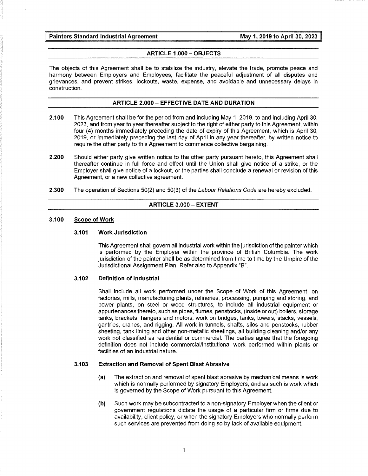#### **ARTICLE 1.000 - OBJECTS**

The objects of this Agreement shall be to stabilize the industry, elevate the trade, promote peace and harmony between Employers and Employees, facilitate the peaceful adjustment of all disputes and grievances, and prevent strikes, lockouts, waste, expense, and avoidable and unnecessary delays in construction.

#### **ARTICLE 2.000 - EFFECTIVE DATE AND DURATION**

- **2.100** This Agreement shall be for the period from and including May 1, 2019, to and including April 30, 2023, and from year to year thereafter subject to the right of either party to this Agreement, within four (4) months immediately preceding the date of expiry of this Agreement, which is April 30, 2019, or immediately preceding the last day of April in any year thereafter, by written notice to require the other party to this Agreement to commence collective bargaining.
- **2.200** Should either party give written notice to the other party pursuant hereto, this Agreement shall thereafter continue in full force and effect until the Union shall give notice of a strike, or the Employer shall give notice of a lockout, or the parties shall conclude a renewal or revision of this Agreement, or a new collective agreement.
- **2.300** The operation of Sections 50(2) and 50(3) of the Labour Relations Code are hereby excluded.

#### **ARTICLE 3.000 - EXTENT**

#### **3.100 Scope of Work**

#### **3.101 Work Jurisdiction**

This Agreement shall govern all industrial work within the jurisdiction of the painter which is performed by the Employer within the province of British Columbia. The work jurisdiction of the painter shall be as determined from time to time by the Umpire of the Jurisdictional Assignment Plan. Refer also to Appendix "B".

#### **3.102 Definition of Industrial**

Shall include all work performed under the Scope of Work of this Agreement, on factories, mills, manufacturing plants, refineries, processing, pumping and storing, and power plants, on steel or wood structures, to include all industrial equipment or appurtenances thereto, such as pipes, flumes, penstocks, (inside or out) boilers, storage tanks, brackets, hangers and motors, work on bridges, tanks, towers, stacks, vessels, gantries, cranes, and rigging. All work in tunnels, shafts, silos and penstocks, rubber sheeting, tank lining and other non-metallic sheetings, all building cleaning and/or any work not classified as residential or commercial. The parties agree that the foregoing definition does not include commercial/institutional work performed within plants or facilities of an industrial nature.

#### **3.103 Extraction and Removal of Spent Blast Abrasive**

- (a) The extraction and removal of spent blast abrasive by mechanical means is work which is normally performed by signatory Employers, and as such is work which is governed by the Scope of Work pursuant to this Agreement.
- **(b)** Such work may be subcontracted to a non-signatory Employer when the client or government regulations dictate the usage of a particular firm or firms due to availability, client policy, or when the signatory Employers who normally perform such services are prevented from doing so by lack of available equipment.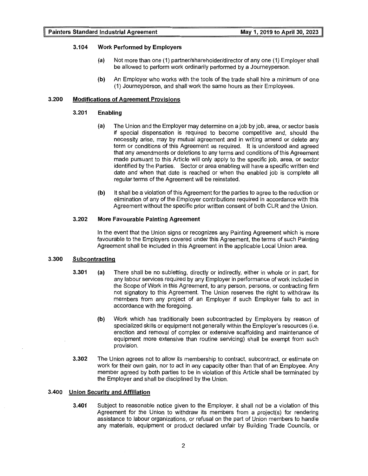#### **3.104 Work Performed by Employers**

- **(a)** Not more than one (1) partner/shareholder/director of any one (1) Employer shall be allowed to perform work ordinarily performed by a Journeyperson.
- **(b)** An Employer who works with the tools of the trade shall hire a minimum of one (1) Journeyperson, and shall work the same hours as their Employees.

#### **3.200 Modifications of Agreement Provisions**

#### **3.201 Enabling**

- (a) The Union and the Employer may determine on a job by job, area, or sector basis if special dispensation is required to become competitive and, should the necessity arise, may by mutual agreement and in writing amend or delete any term or conditions of this Agreement as required. It is understood and agreed that any amendments or deletions to any terms and conditions of this Agreement made pursuant to this Article will only apply to the specific job, area, or sector identified by the Parties. Sector or area enabling will have a specific written end date and when that date is reached or when the enabled job is complete all regular terms of the Agreement will be reinstated.
- **(b)** It shall be a violation of this Agreement for the parties to agree to the reduction or elimination of any of the Employer contributions required in accordance with this Agreement without the specific prior written consent of both CLR and the Union.

#### **3.202 More Favourable Painting Agreement**

In the event that the Union signs or recognizes any Painting Agreement which is more favourable to the Employers covered under this Agreement, the terms of such Painting Agreement shall be included in this Agreement in the applicable Local Union area.

#### **3.300 Subcontracting**

- **3.301 (a)** There shall be no subletting, directly or indirectly, either in whole or in part, for any labour services required by any Employer in performance of work included in the Scope of Work in this Agreement, to any person, persons, or contracting firm not signatory to this Agreement. The Union reserves the right to withdraw its members from any project of an Employer if such Employer fails to act in accordance with the foregoing.
	- **(b)** Work which has traditionally been subcontracted by Employers by reason of specialized skills or equipment not generally within the Employer's resources (i.e. erection and removal of complex or extensive scaffolding and maintenance of equipment more extensive than routine servicing) shall be exempt from such provision.
- **3.302** The Union agrees not to allow its membership to contract, subcontract, or estimate on work for their own gain, nor to act in any capacity other than that of an Employee. Any member agreed by both parties to be in violation of this Article shall be terminated by the Employer and shall be disciplined by the Union.

#### **3.400 Union Security and Affiliation**

**3.401** Subject to reasonable notice given to the Employer, it shall not be a violation of this Agreement for the Union to withdraw its members from a project(s) for rendering assistance to labour organizations, or refusal on the part of Union members to handle any materials, equipment or product declared unfair by Building Trade Councils, or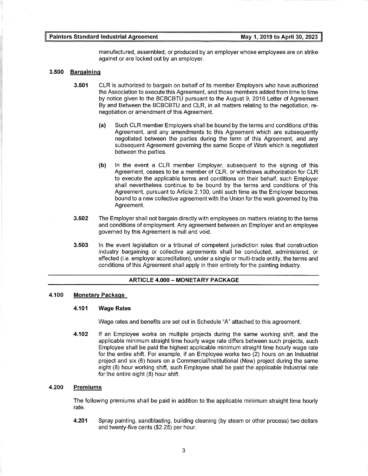manufactured, assembled, or produced by an employer whose employees are on strike against or are locked out by an employer.

#### **3.500 Bargaining**

- **3.501** CLR is authorized to bargain on behalf of its member Employers who have authorized the Association to execute this Agreement, and those members added from time to time by notice given to the BCBCBTU pursuant to the August 9, 2016 Letter of Agreement By and Between the BCBCBTU and CLR, in all matters relating to the negotiation, renegotiation or amendment of this Agreement.
	- (a) Such CLR member Employers shall be bound by the terms and conditions of this Agreement, and any amendments to this Agreement which are subsequently negotiated between the parties during the term of this Agreement, and any subsequent Agreement governing the same Scope of Work which is negotiated between the parties.
	- **(b)** In the event a CLR member Employer, subsequent to the signing of this Agreement, ceases to be a member of CLR, or withdraws authorization for CLR to execute the applicable terms and conditions on their behalf, such Employer shall nevertheless continue to be bound by the terms and conditions of this Agreement, pursuant to Article 2.100, until such time as the Employer becomes bound to a new collective agreement with the Union for the work governed by this Agreement.
- **3.502** The Employer shall not bargain directly with employees on matters relating to the terms and conditions of employment. Any agreement between an Employer and an employee governed by this Agreement is null and void.
- **3.503** In the event legislation or a tribunal of competent jurisdiction rules that construction industry bargaining or collective agreements shall be conducted, administered, or effected (i.e. employer accreditation), under a single or multi-trade entity, the terms and conditions of this Agreement shall apply in their entirety for the painting industry.

#### **ARTICLE 4.000 - MONETARY PACKAGE**

#### **4.100 Monetary Package**

#### **4.101 Wage Rates**

Wage rates and benefits are set out in Schedule "A" attached to this agreement.

**4.102** If an Employee works on multiple projects during the same working shift, and the applicable minimum straight time hourly wage rate differs between such projects, such Employee shall be paid the highest applicable minimum straight time hourly wage rate for the entire shift. For example, if an Employee works two (2) hours on an Industrial project and six (6) hours on a Commercial/Institutional (New) project during the same eight (8) hour working shift, such Employee shall be paid the applicable Industrial rate for the entire eight (8) hour shift.

#### **4.200 Premiums**

The following premiums shall be paid in addition to the applicable minimum straight time hourly rate.

**4.201** Spray painting, sandblasting, building cleaning (by steam or other process) two dollars and twenty-five cents (\$2.25) per hour.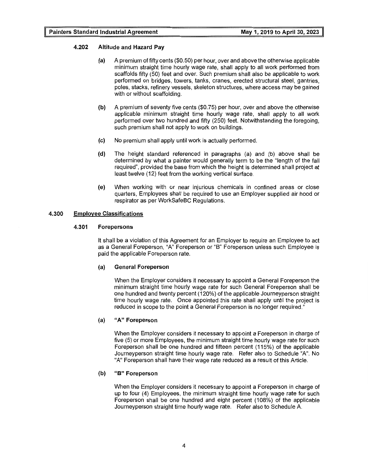#### **4.202 Altitude and Hazard Pay**

- (a) A premium offifty cents (\$0.50) per hour, over and above the otherwise applicable minimum straight time hourly wage rate, shall apply to all work performed from scaffolds fifty (50) feet and over. Such premium shall also be applicable to work performed on bridges, towers, tanks, cranes, erected structural steel, gantries, poles, stacks, refinery vessels, skeleton structures, where access may be gained with or without scaffolding.
- **(b)** A premium of seventy five cents (\$0.75) per hour, over and above the otherwise applicable minimum straight time hourly wage rate, shall apply to all work performed over two hundred and fifty (250) feet. Notwithstanding the foregoing, such premium shall not apply to work on buildings.
- (c) No premium shall apply until work is actually performed.
- **(d)** The height standard referenced in paragraphs (a) and (b) above shall be determined by what a painter would generally term to be the "length of the fall required", provided the base from which the height is determined shall project at least twelve (12) feet from the working vertical surface.
- (e) When working with or near injurious chemicals in confined areas or close quarters, Employees shall be required to use an Employer supplied air hood or respirator as per WorkSafeBC Regulations.

#### **4.300 Employee Classifications**

#### **4.301 Forepersons**

It shall be a violation of this Agreement for an Employer to require an Employee to act as a General Foreperson, "A" Foreperson or "B" Foreperson unless such Employee is paid the applicable Foreperson rate.

#### **(a) General Foreperson**

When the Employer considers it necessary to appoint a General Foreperson the minimum straight time hourly wage rate for such General Foreperson shall be one hundred and twenty percent (120%) of the applicable Journeyperson straight time hourly wage rate. Once appointed this rate shall apply until the project is reduced in scope to the point a General Foreperson is no longer required."

#### (a) **"A" Foreperson**

When the Employer considers it necessary to appoint a Foreperson in charge of five (5) or more Employees, the minimum straight time hourly wage rate for such Foreperson shall be one hundred and fifteen percent (115%) of the applicable Journeyperson straight time hourly wage rate. Refer also to Schedule "A". No "A" Foreperson shall have their wage rate reduced as a result of this Article.

#### **(b) "B" Foreperson**

When the Employer considers it necessary to appoint a Foreperson in charge of up to four (4) Employees, the minimum straight time hourly wage rate for such Foreperson shall be one hundred and eight percent (108%) of the applicable Journeyperson straight time hourly wage rate. Refer also to Schedule A.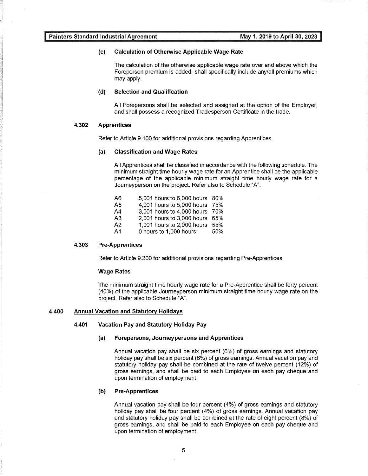#### (c) **Calculation of Otherwise Applicable Wage Rate**

The calculation of the otherwise applicable wage rate over and above which the Foreperson premium is added, shall specifically include any/all premiums which may apply.

#### **(d) Selection and Qualification**

All Forepersons shall be selected and assigned at the option of the Employer, and shall possess a recognized Tradesperson Certificate in the trade.

#### **4.302 Apprentices**

Refer to Article 9.100 for additional provisions regarding Apprentices.

#### (a) **Classification and Wage Rates**

All Apprentices shall be classified in accordance with the following schedule. The minimum straight time hourly wage rate for an Apprentice shall be the applicable percentage of the applicable minimum straight time hourly wage rate for a Journeyperson on the project. Refer also to Schedule "A".

| А6 | 5,001 hours to 6,000 hours 80% |     |
|----|--------------------------------|-----|
| А5 | 4,001 hours to 5,000 hours 75% |     |
| A4 | 3,001 hours to 4,000 hours 70% |     |
| A3 | 2,001 hours to 3,000 hours 65% |     |
| А2 | 1,001 hours to 2,000 hours 55% |     |
| А1 | 0 hours to 1,000 hours         | 50% |

#### **4.303 Pre-Apprentices**

Refer to Article 9.200 for additional provisions regarding Pre-Apprentices.

#### **Wage Rates**

The minimum straight time hourly wage rate for a Pre-Apprentice shall be forty percent (40%) of the applicable Journeyperson minimum straight time hourly wage rate on the project. Refer also to Schedule "A".

#### **4.400 Annual Vacation and Statutory Holidays**

#### **4.401 Vacation Pay and Statutory Holiday Pay**

#### **(a) Forepersons, Journeypersons and Apprentices**

Annual vacation pay shall be six percent (6%) of gross earnings and statutory holiday pay shall be six percent (6%) of gross earnings. Annual vacation pay and statutory holiday pay shall be combined at the rate of twelve percent (12%) of gross earnings, and shall be paid to each Employee on each pay cheque and upon termination of employment.

#### **(b) Pre-Apprentices**

Annual vacation pay shall be four percent (4%) of gross earnings and statutory holiday pay shall be four percent (4%) of gross earnings. Annual vacation pay and statutory holiday pay shall be combined at the rate of eight percent (8%) of gross earnings, and shall be paid to each Employee on each pay cheque and upon termination of employment.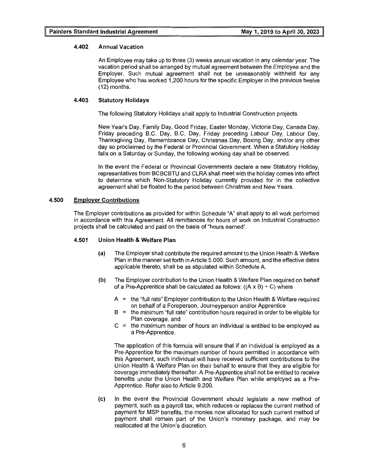#### **4.402 Annual Vacation**

An Employee may take up to three (3) weeks annual vacation in any calendar year. The vacation period shall be arranged by mutual agreement between the Employee and the Employer. Such mutual agreement shall not be unreasonably withheld for any Employee who has worked 1,200 hours for the specific Employer in the previous twelve (12) months.

#### **4.403 Statutory Holidays**

The following Statutory Holidays shall apply to Industrial Construction projects.

New Year's Day, Family Day, Good Friday, Easter Monday, Victoria Day, Canada Day, Friday preceding B.C. Day, B.C. Day, Friday preceding Labour Day, Labour Day, Thanksgiving Day, Remembrance Day, Christmas Day, Boxing Day, and/or any other day so proclaimed by the Federal or Provincial Government. When a Statutory Holiday falls on a Saturday or Sunday, the following working day shall be observed.

In the event the Federal or Provincial Governments declare a new Statutory Holiday, representatives from BCBCBTU and CLRA shall meet with the holiday comes into effect to determine which Non-Statutory Holiday currently provided for in the collective agreement shall be floated to the period between Christmas and New Years.

#### **4.500 Employer Contributions**

The Employer contributions as provided for within Schedule "A" shall apply to all work performed in accordance with this Agreement. All remittances for hours of work on Industrial Construction projects shall be calculated and paid on the basis of "hours earned".

#### **4.501 Union Health & Welfare Plan**

- **(a)** The Employer shall contribute the required amount to the Union Health & Welfare Plan in the manner set forth in Article 5.000. Such amount, and the effective dates applicable thereto, shall be as stipulated within Schedule A.
- **(b)** The Employer contribution to the Union Health & Welfare Plan required on behalf of a Pre-Apprentice shall be calculated as follows:  $((A \times B) \div C)$  where
	- <sup>A</sup>= the "full rate" Employer contribution to the Union Health & Welfare required on behalf of a Foreperson, Journeyperson and/or Apprentice
	- $B =$  the minimum "full rate" contribution hours required in order to be eligible for Plan coverage, and
	- $C =$  the maximum number of hours an individual is entitled to be employed as a Pre-Apprentice.

The application of this formula will ensure that if an individual is employed as a Pre-Apprentice for the maximum number of hours permitted in accordance with this Agreement, such individual will have received sufficient contributions to the Union Health & Welfare Plan on their behalf to ensure that they are eligible for coverage immediately thereafter. A Pre-Apprentice shall not be entitled to receive benefits under the Union Health and Welfare Plan while employed as a Pre-Apprentice. Refer also to Article 9.200.

(c) In the event the Provincial Government should legislate a new method of payment, such as a payroll tax, which reduces or replaces the current method of payment for MSP benefits, the monies now allocated for such current method of payment shall remain part of the Union's monetary package, and may be reallocated at the Union's discretion.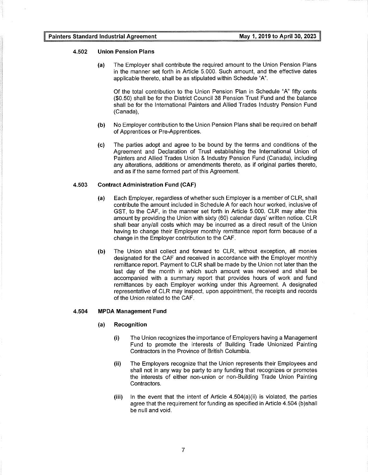#### **4.502 Union Pension Plans**

(a) The Employer shall contribute the required amount to the Union Pension Plans in the manner set forth in Article 5.000. Such amount, and the effective dates applicable thereto, shall be as stipulated within Schedule "A".

Of the total contribution to the Union Pension Plan in Schedule "A" fifty cents (\$0.50) shall be for the District Council 38 Pension Trust Fund and the balance shall be for the International Painters and Allied Trades Industry Pension Fund (Canada),

- **(b)** No Employer contribution to the Union Pension Plans shall be required on behalf of Apprentices or Pre-Apprentices.
- (c) The parties adopt and agree to be bound by the terms and conditions of the Agreement and Declaration of Trust establishing the International Union of Painters and Allied Trades Union & Industry Pension Fund (Canada), including any alterations, additions or amendments thereto, as if original parties thereto, and as if the same formed part of this Agreement.

#### **4.503 Contract Administration Fund (CAF)**

- **(a)** Each Employer, regardless of whether such Employer is a member of CLR, shall contribute the amount included in Schedule A for each hour worked, inclusive of GST, to the CAF, in the manner set forth in Article 5.000. CLR may alter this amount by providing the Union with sixty (60) calendar days' written notice. CLR shall bear any/all costs which may be incurred as a direct result of the Union having to change their Employer monthly remittance report form because of a change in the Employer contribution to the CAF.
- **(b)** The Union shall collect and forward to CLR, without exception, all monies designated for the CAF and received in accordance with the Employer monthly remittance report. Payment to CLR shall be made by the Union not later than the last day of the month in which such amount was received and shall be accompanied with a summary report that provides hours of work and fund remittances by each Employer working under this Agreement. A designated representative of CLR may inspect, upon appointment, the receipts and records of the Union related to the CAF.

#### **4.504 MPDA Management Fund**

- **(a) Recognition** 
	- **(i)** The Union recognizes the importance of Employers having a Management Fund to promote the interests of Building Trade Unionized Painting Contractors in the Province of British Columbia.
	- **(ii)** The Employers recognize that the Union represents their Employees and shall not in any way be party to any funding that recognizes or promotes the interests of either non-union or non-Building Trade Union Painting Contractors.
	- **(iii)** In the event that the intent of Article 4.504(a)(ii) is violated, the parties agree that the requirement for funding as specified in Article 4.504 (b)shall be null and void.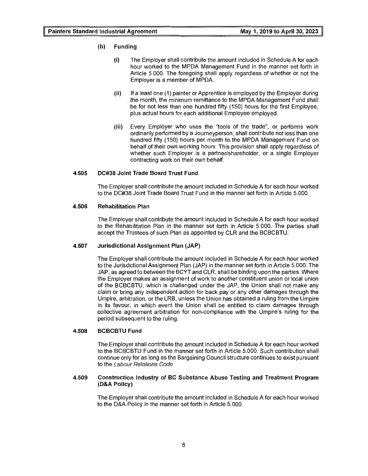#### (b) Funding

- (i) The Employer shall contribute the amount included in Schedule A for each hour worked to the MPDA Management Fund in the manner set forth in Article 5. 000. The foregoing shall apply regardless of whether or not the Employer is a member of MPDA.
- (ii) If a least one (1) painter or Apprentice is employed by the Employer during the month, the minimum remittance to the MPDA Management Fund shall be for not less than one hundred fifty (150) hours for the first Employee, plus actual hours for each additional Employee employed.
- (iii) Every Employer who uses the "tools of the trade", or performs work ordinarily performed by a Journeyperson, shall contribute not less than one hundred fifty (150) hours per month to the MPDA Management Fund on behalf of their own working hours. This provision shall apply regardless of whether such Employer is a partner/shareholder, or a single Employer contracting work on their own behalf.

#### 4.505 DC#38 Joint Trade Board Trust Fund

The Employer shall contribute the amount included in Schedule A for each hour worked to the DC#38 Joint Trade Board Trust Fund in the manner set forth in Article 5.000.

#### 4.506 Rehabilitation Plan

The Employer shall contribute the amount included in Schedule A for each hour worked to the Rehabilitation Plan in the manner set forth in Article 5.000. The parties shall accept the Trustees of such Plan as appointed by CLR and the BCBCBTU.

#### 4.507 Jurisdictional Assignment Plan (JAP)

The Employer shall contribute the amount included in Schedule A for each hour worked to the Jurisdictional Assignment Plan (JAP) in the manner set forth in Article 5.000. The JAP, as agreed to between the BCYT and CLR, shall be binding upon the parties. Where the Employer makes an assignment of work to another constituent union or local union of the BCBCBTU, which is challenged under the JAP, the Union shall not make any claim or bring any independent action for back pay or any other damages through the Umpire, arbitration, or the LRB, unless the Union has obtained a ruling from the Umpire in its favour, in which event the Union shall be entitled to claim damages through collective agreement arbitration for non-compliance with the Umpire's ruling for the period subsequent to the ruling.

#### 4.508 BCBCBTU Fund

The Employer shall contribute the amount included in Schedule A for each hour worked to the BCBCBTU Fund in the manner set forth in Article 5.000. Such contribution shall continue only for as long as the Bargaining Council structure continues to exist pursuant to the Labour Relations Code.

#### 4.509 Construction Industry of BC Substance Abuse Testing and Treatment Program (D&A Policy)

The Employer shall contribute the amount included in Schedule A for each hour worked to the D&A Policy in the manner set forth in Article 5.000.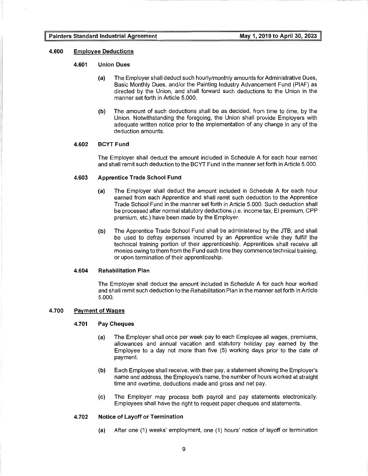#### **4.600 Employee Deductions**

#### **4.601 Union Dues**

- (a) The Employer shall deduct such hourly/monthly amounts for Administrative Dues, Basic Monthly Dues, and/or the Painting Industry Advancement Fund (PIAF) as directed by the Union, and shall forward such deductions to the Union in the manner set forth in Article 5.000.
- **(b)** The amount of such deductions shall be as decided, from time to time, by the Union. Notwithstanding the foregoing, the Union shall provide Employers with adequate written notice prior to the implementation of any change in any of the deduction amounts.

#### **4.602 BCYT Fund**

The Employer shall deduct the amount included in Schedule A for each hour earned and shall remit such deduction to the BCYT Fund in the manner set forth in Article 5. 000.

#### **4.603 Apprentice Trade School Fund**

- {a) The Employer shall deduct the amount included in Schedule A for each hour earned from each Apprentice and shall remit such deduction to the Apprentice Trade School Fund in the manner set forth in Article 5.000. Such deduction shall be processed after normal statutory deductions (i.e. income tax, El premium, CPP premium, etc.) have been made by the Employer.
- **(b)** The Apprentice Trade School Fund shall be administered by the JTB, and shall be used to defray expenses incurred by an Apprentice while they fulfill the technical training portion of their apprenticeship. Apprentices shall receive all monies owing to them from the Fund each time they commence technical training, or upon termination of their apprenticeship.

#### **4.604 Rehabilitation Plan**

The Employer shall deduct the amount included in Schedule A for each hour worked and shall remit such deduction to the Rehabilitation Plan in the manner set forth in Article 5.000.

#### **4.700 Payment of Wages**

#### **4.701 Pay Cheques**

- **(a)** The Employer shall once per week pay to each Employee all wages, premiums, allowances and annual vacation and statutory holiday pay earned by the Employee to a day not more than five (5) working days prior to the date of payment.
- **(b)** Each Employee shall receive, with their pay, a statement showing the Employer's name and address, the Employee's name, the number of hours worked at straight time and overtime, deductions made and gross and net pay.
- (c) The Employer may process both payroll and pay statements electronically. Employees shall have the right to request paper cheques and statements.

#### **4.702 Notice of Layoff or Termination**

(a) After one (1) weeks' employment, one (1) hours' notice of layoff or termination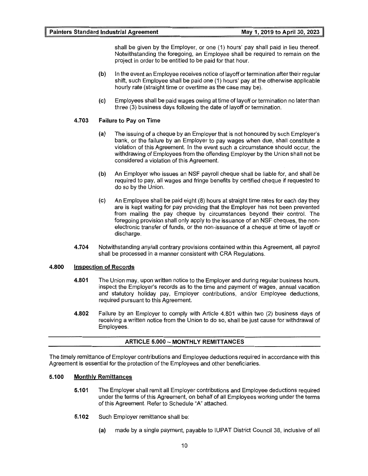shall be given by the Employer, or one (1) hours' pay shall paid in lieu thereof. Notwithstanding the foregoing, an Employee shall be required to remain on the project in order to be entitled to be paid for that hour.

- **(b)** In the event an Employee receives notice of layoff or termination after their regular shift, such Employee shall be paid one (1) hours' pay at the otherwise applicable hourly rate (straight time or overtime as the case may be).
- **(c)** Employees shall be paid wages owing at time of layoff or termination no later than three (3) business days following the date of layoff or termination.

#### **4.703 Failure to Pay on Time**

- **(a)** The issuing of a cheque by an Employer that is not honoured by such Employer's bank, or the failure by an Employer to pay wages when due, shall constitute a violation of this Agreement. In the event such a circumstance should occur, the withdrawing of Employees from the offending Employer by the Union shall not be considered a violation of this Agreement.
- **(b)** An Employer who issues an NSF payroll cheque shall be liable for, and shall be required to pay, all wages and fringe benefits by certified cheque if requested to do so by the Union.
- (c) An Employee shall be paid eight (8) hours at straight time rates for each day they are is kept waiting for pay providing that the Employer has not been prevented from mailing the pay cheque by circumstances beyond their control. The foregoing provision shall only apply to the issuance of an NSF cheques, the nonelectronic transfer of funds, or the non-issuance of a cheque at time of layoff or discharge.
- **4.704** Notwithstanding any/all contrary provisions contained within this Agreement, all payroll shall be processed in a manner consistent with CRA Regulations.

#### **4.800 Inspection of Records**

- **4.801** The Union may, upon written notice to the Employer and during regular business hours, inspect the Employer's records as to the time and payment of wages, annual vacation and statutory holiday pay, Employer contributions, and/or Employee deductions, required pursuant to this Agreement.
- **4.802** Failure by an Employer to comply with Article 4.801 within two (2) business days of receiving a written notice from the Union to do so, shall be just cause for withdrawal of Employees.

#### **ARTICLE 5.000 - MONTHLY REMITTANCES**

The timely remittance of Employer contributions and Employee deductions required in accordance with this Agreement is essential for the protection of the Employees and other beneficiaries.

#### **5.100 Monthly Remittances**

- **5.101** The Employer shall remit all Employer contributions and Employee deductions required under the terms of this Agreement, on behalf of all Employees working under the terms of this Agreement. Refer to Schedule "A" attached.
- **5.102** Such Employer remittance shall be:
	- **(a)** made by a single payment, payable to IUPAT District Council 38, inclusive of all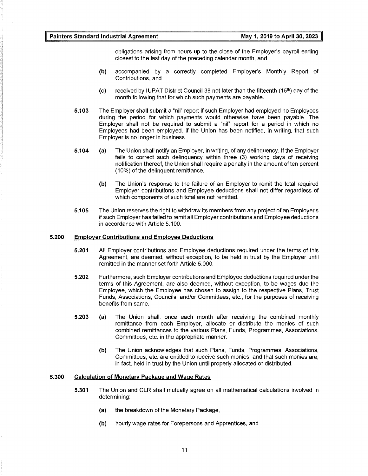obligations arising from hours up to the close of the Employer's payroll ending closest to the last day of the preceding calendar month, and

- **(b)** accompanied by a correctly completed Employer's Monthly Report of Contributions, and
- (c) received by IUPAT District Council 38 not later than the fifteenth  $(15<sup>th</sup>)$  day of the month following that for which such payments are payable.
- **5.103** The Employer shall submit a "nil" report if such Employer had employed no Employees during the period for which payments would otherwise have been payable. The Employer shall not be required to submit a "nil" report for a period in which no Employees had been employed, if the Union has been notified, in writing, that such Employer is no longer in business.
- **5.104** (a) The Union shall notify an Employer, in writing, of any delinquency. If the Employer fails to correct such delinquency within three (3) working days of receiving notification thereof, the Union shall require a penalty in the amount of ten percent (10%) of the delinquent remittance.
	- **(b)** The Union's response to the failure of an Employer to remit the total required Employer contributions and Employee deductions shall not differ regardless of which components of such total are not remitted.
- **5.105** The Union reserves the right to withdraw its members from any project of an Employer's if such Employer has failed to remit all Employer contributions and Employee deductions in accordance with Article 5.100.

#### **5.200 Employer Contributions and Employee Deductions**

- **5.201** All Employer contributions and Employee deductions required under the terms of this Agreement, are deemed, without exception, to be held in trust by the Employer until remitted in the manner set forth Article 5.000.
- **5.202** Furthermore, such Employer contributions and Employee deductions required under the terms of this Agreement, are also deemed, without exception, to be wages due the Employee, which the Employee has chosen to assign to the respective Plans, Trust Funds, Associations, Councils, and/or Committees, etc., for the purposes of receiving benefits from same.
- **5.203** (a) The Union shall, once each month after receiving the combined monthly remittance from each Employer, allocate or distribute the monies of such combined remittances to the various Plans, Funds, Programmes, Associations, Committees, etc. in the appropriate manner.
	- **(b)** The Union acknowledges that such Plans, Funds, Programmes, Associations, Committees, etc. are entitled to receive such monies, and that such monies are, in fact, held in trust by the Union until properly allocated or distributed.

#### **5.300 Calculation of Monetary Package and Wage Rates**

- **5.301** The Union and CLR shall mutually agree on all mathematical calculations involved in determining:
	- (a) the breakdown of the Monetary Package,
	- **(b)** hourly wage rates for Forepersons and Apprentices, and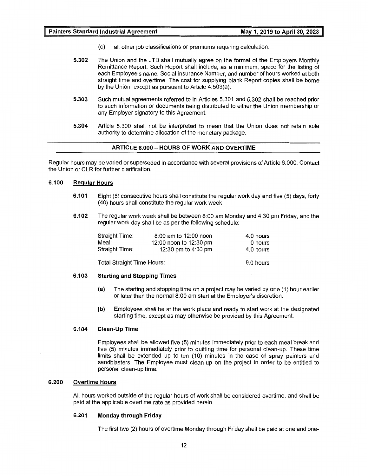- (c) all other job classifications or premiums requiring calculation.
- **5.302** The Union and the JTB shall mutually agree on the format of the Employers Monthly Remittance Report. Such Report shall include, as a minimum, space for the listing of each Employee's name, Social Insurance Number, and number of hours worked at both straight time and overtime. The cost for supplying blank Report copies shall be borne by the Union, except as pursuant to Article 4.503(a).
- **5.303** Such mutual agreements referred to in Articles 5.301 and 5.302 shall be reached prior to such information or documents being distributed to either the Union membership or any Employer signatory to this Agreement.
- **5.304** Article 5.300 shall not be interpreted to mean that the Union does not retain sole authority to determine allocation of the monetary package.

#### **ARTICLE 6.000 - HOURS OF WORK AND OVERTIME**

Regular hours may be varied or superseded in accordance with several provisions of Article 6.000. Contact the Union or CLR for further clarification.

#### **6.100 Regular Hours**

- **6.101** Eight (8) consecutive hours shall constitute the regular work day and five (5) days, forty (40) hours shall constitute the regular work week.
- **6.102** The regular work week shall be between 8:00 am Monday and 4:30 pm Friday, and the regular work day shall be as per the following schedule:

| Straight Time: | 8:00 am to 12:00 noon  | 4.0 hours |
|----------------|------------------------|-----------|
| Meal:          | 12:00 noon to 12:30 pm | 0 hours   |
| Straight Time: | 12:30 pm to 4:30 pm    | 4.0 hours |

Total Straight Time Hours:

#### **6.103 Starting and Stopping Times**

(a) The starting and stopping time on a project may be varied by one (1) hour earlier or later than the normal 8:00 am start at the Employer's discretion.

8.0 hours

**(b)** Employees shall be at the work place and ready to start work at the designated starting time, except as may otherwise be provided by this Agreement.

#### **6.104 Clean-Up Time**

Employees shall be allowed five (5) minutes immediately prior to each meal break and five (5) minutes immediately prior to quitting time for personal clean-up. These time limits shall be extended up to ten (10) minutes in the case of spray painters and sandblasters. The Employee must clean-up on the project in order to be entitled to personal clean-up time.

#### **6.200 Overtime Hours**

All hours worked outside of the regular hours of work shall be considered overtime, and shall be paid at the applicable overtime rate as provided herein.

#### **6.201 Monday through Friday**

The first two (2) hours of overtime Monday through Friday shall be paid at one and one-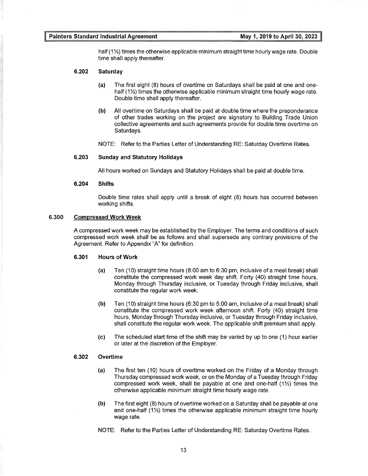half  $(1\frac{1}{2})$  times the otherwise applicable minimum straight time hourly wage rate. Double time shall apply thereafter.

#### **6.202 Saturday**

- (a) The first eight (8) hours of overtime on Saturdays shall be paid at one and onehalf  $(1\frac{1}{2})$  times the otherwise applicable minimum straight time hourly wage rate. Double time shall apply thereafter.
- **(b)** All overtime on Saturdays shall be paid at double time where the preponderance of other trades working on the project are signatory to Building Trade Union collective agreements and such agreements provide for double time overtime on Saturdays.
- NOTE: Refer to the Parties Letter of Understanding RE: Saturday Overtime Rates.

#### **6.203 Sunday and Statutory Holidays**

All hours worked on Sundays and Statutory Holidays shall be paid at double time.

#### **6.204 Shifts**

Double time rates shall apply until a break of eight (8) hours has occurred between working shifts.

#### **6.300 Compressed Work Week**

A compressed work week may be established by the Employer. The terms and conditions of such compressed work week shall be as follows and shall supersede any contrary provisions of the Agreement. Refer to Appendix "A" for definition.

#### **6.301 Hours of Work**

- (a) Ten (10) straight time hours (8:00 am to 6:30 pm, inclusive of a meal break) shall constitute the compressed work week day shift. Forty (40) straight time hours, Monday through Thursday inclusive, or Tuesday through Friday inclusive, shall constitute the regular work week.
- **(b)** Ten (10) straight time hours (6:30 pm to 5:00 am, inclusive of a meal break) shall constitute the compressed work week afternoon shift. Forty (40) straight time hours, Monday through Thursday inclusive, or Tuesday through Friday inclusive, shall constitute the regular work week. The applicable shift premium shall apply.
- (c) The scheduled start time of the shift may be varied by up to one (1) hour earlier or later at the discretion of the Employer.

#### **6.302 Overtime**

- (a) The first ten (10) hours of overtime worked on the Friday of a Monday through Thursday compressed work week, or on the Monday of a Tuesday through Friday compressed work week, shall be payable at one and one-half (11/2) times the otherwise applicable minimum straight time hourly wage rate.
- **(b)** The first eight (8) hours of overtime worked on a Saturday shall be payable at one and one-half  $(1\frac{1}{2})$  times the otherwise applicable minimum straight time hourly wage rate.
- NOTE: Refer to the Parties Letter of Understanding RE: Saturday Overtime Rates.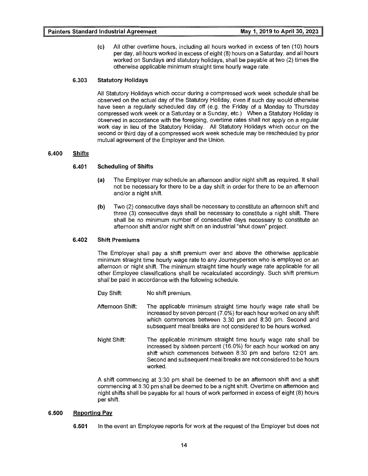(c) All other overtime hours, including all hours worked in excess of ten (10) hours per day, all hours worked in excess of eight (8) hours on a Saturday, and all hours worked on Sundays and statutory holidays, shall be payable at two (2) times the otherwise applicable minimum straight time hourly wage rate.

#### **6.303 Statutory Holidays**

All Statutory Holidays which occur during a compressed work week schedule shall be observed on the actual day of the Statutory Holiday, even if such day would otherwise have been a regularly scheduled day off (e.g. the Friday of a Monday to Thursday compressed work week or a Saturday or a Sunday, etc.) When a Statutory Holiday is observed in accordance with the foregoing, overtime rates shall not apply on a regular work day in lieu of the Statutory Holiday. All Statutory Holidays which occur on the second or third day of a compressed work week schedule may be rescheduled by prior mutual agreement of the Employer and the Union.

#### **6.400 Shifts**

#### **6.401 Scheduling of Shifts**

- (a) The Employer may schedule an afternoon and/or night shift as required. It shall not be necessary for there to be a day shift in order for there to be an afternoon and/or a night shift.
- **(b)** Two (2) consecutive days shall be necessary to constitute an afternoon shift and three (3) consecutive days shall be necessary to constitute a night shift. There shall be no minimum number of consecutive days necessary to constitute an afternoon shift and/or night shift on an industrial "shut down" project.

#### **6.402 Shift Premiums**

The Employer shall pay a shift premium over and above the otherwise applicable minimum straight time hourly wage rate to any Journeyperson who is employed on an afternoon or night shift. The minimum straight time hourly wage rate applicable for all other Employee classifications shall be recalculated accordingly. Such shift premium shall be paid in accordance with the following schedule.

- Day Shift: No shift premium.
- Afternoon Shift: The applicable minimum straight time hourly wage rate shall be increased by seven percent (7.0%) for each hour worked on any shift which commences between 3:30 pm and 8:30 pm. Second and subsequent meal breaks are not considered to be hours worked.
- Night Shift: The applicable minimum straight time hourly wage rate shall be increased by sixteen percent (16.0%) for each hour worked on any shift which commences between 8:30 pm and before 12:01 am. Second and subsequent meal breaks are not considered to be hours worked.

A shift commencing at 3:30 pm shall be deemed to be an afternoon shift and a shift commencing at 8:30 pm shall be deemed to be a night shift. Overtime on afternoon and night shifts shall be payable for all hours of work performed in excess of eight (8) hours per shift.

#### **6.500 Reporting Pay**

**6.501** In the event an Employee reports for work at the request of the Employer but does not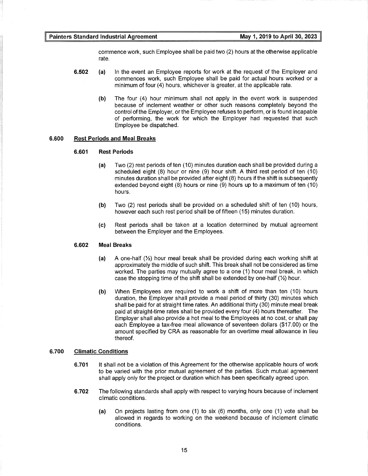commence work, such Employee shall be paid two (2) hours at the otherwise applicable rate.

- **6.502** (a) In the event an Employee reports for work at the request of the Employer and commences work, such Employee shall be paid for actual hours worked or a minimum of four (4) hours, whichever is greater, at the applicable rate.
	- **(b)** The four (4) hour minimum shall not apply in the event work is suspended because of inclement weather or other such reasons completely beyond the control of the Employer, or the Employee refuses to perform, or is found incapable of performing, the work for which the Employer had requested that such Employee be dispatched.

#### **6.600 Rest Periods and Meal Breaks**

#### **6.601 Rest Periods**

- (a) Two (2) rest periods of ten (10) minutes duration each shall be provided during a scheduled eight (8) hour or nine (9) hour shift. A third rest period of ten (10) minutes duration shall be provided after eight (8) hours if the shift is subsequently extended beyond eight (8) hours or nine (9) hours up to a maximum of ten (10) hours.
- **(b)** Two (2) rest periods shall be provided on a scheduled shift of ten (10) hours, however each such rest period shall be of fifteen (15) minutes duration.
- (c) Rest periods shall be taken at a location determined by mutual agreement between the Employer and the Employees.

#### **6.602 Meal Breaks**

- (a) A one-half  $(½)$  hour meal break shall be provided during each working shift at approximately the middle of such shift. This break shall not be considered as time worked. The parties may mutually agree to a one (1) hour meal break, in which case the stopping time of the shift shall be extended by one-half (%) hour.
- **(b)** When Employees are required to work a shift of more than ten (10) hours duration, the Employer shall provide a meal period of thirty (30) minutes which shall be paid for at straight time rates. An additional thirty (30) minute meal break paid at straight-time rates shall be provided every four (4) hours thereafter. The Employer shall also provide a hot meal to the Employees at no cost, or shall pay each Employee a tax-free meal allowance of seventeen dollars (\$17.00) or the amount specified by CRA as reasonable for an overtime meal allowance in lieu thereof.

#### **6.700 Climatic Conditions**

- **6.701** It shall not be a violation of this Agreement for the otherwise applicable hours of work to be varied with the prior mutual agreement of the parties. Such mutual agreement shall apply only for the project or duration which has been specifically agreed upon.
- **6.702** The following standards shall apply with respect to varying hours because of inclement climatic conditions.
	- **(a)** On projects lasting from one (1) to six (6) months, only one (1) vote shall be allowed in regards to working on the weekend because of inclement climatic conditions.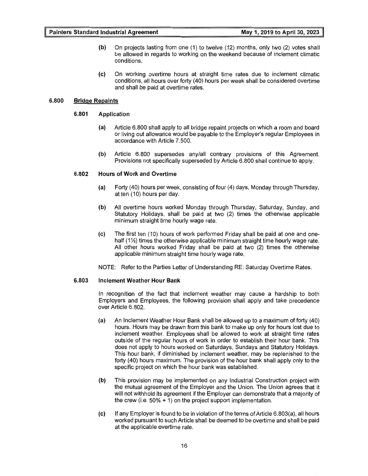- **(b)** On projects lasting from one (1) to twelve (12) months, only two (2) votes shall be allowed in regards to working on the weekend because of inclement climatic conditions.
- (c) On working overtime hours at straight time rates due to inclement climatic conditions, all hours over forty (40) hours per week shall be considered overtime and shall be paid at overtime rates.

#### **6.800 Bridge Repaints**

#### **6.801 Application**

- (a) Article 6.800 shall apply to all bridge repaint projects on which a room and board or living out allowance would be payable to the Employer's regular Employees in accordance with Article 7 .500.
- **(b)** Article 6.800 supersedes any/all contrary provisions of this Agreement. Provisions not specifically superseded by Article 6.800 shall continue to apply.

#### **6.802 Hours of Work and Overtime**

- (a) Forty (40) hours per week, consisting of four (4) days, Monday through Thursday, at ten (10) hours per day.
- **(b)** All overtime hours worked Monday through Thursday, Saturday, Sunday, and Statutory Holidays, shall be paid at two (2) times the otherwise applicable minimum straight time hourly wage rate.
- (c) The first ten (10) hours of work performed Friday shall be paid at one and onehalf  $(12)$  times the otherwise applicable minimum straight time hourly wage rate. All other hours worked Friday shall be paid at two (2) times the otherwise applicable minimum straight time hourly wage rate.
- NOTE: Refer to the Parties Letter of Understanding RE: Saturday Overtime Rates.

#### **6.803 Inclement Weather Hour Bank**

In recognition of the fact that inclement weather may cause a hardship to both Employers and Employees, the following provision shall apply and take precedence over Article 6.802.

- (a) An Inclement Weather Hour Bank shall be allowed up to a maximum of forty (40) hours. Hours may be drawn from this bank to make up only for hours lost due to inclement weather. Employees shall be allowed to work at straight time rates outside of the regular hours of work in order to establish their hour bank. This does not apply to hours worked on Saturdays, Sundays and Statutory Holidays. This hour bank, if diminished by inclement weather, may be replenished to the forty (40) hours maximum. The provision of the hour bank shall apply only to the specific project on which the hour bank was established.
- **(b)** This provision may be implemented on any Industrial Construction project with the mutual agreement of the Employer and the Union. The Union agrees that it will not withhold its agreement if the Employer can demonstrate that a majority of the crew (i.e.  $50\% + 1$ ) on the project support implementation.
- (c) If any Employer is found to be in violation of the terms of Article 6.803(a), all hours worked pursuant to such Article shall be deemed to be overtime and shall be paid at the applicable overtime rate.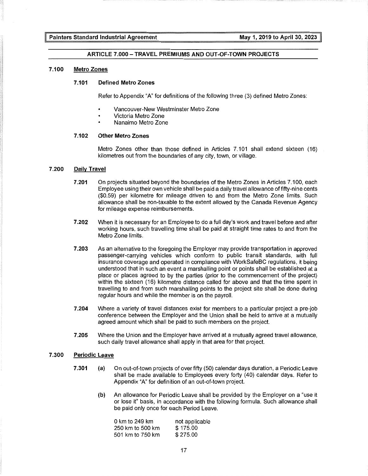#### **ARTICLE 7.000-TRAVEL PREMIUMS AND OUT-OF-TOWN PROJECTS**

#### **7.100 Metro Zones**

#### **7.101 Defined Metro Zones**

Refer to Appendix "A" for definitions of the following three (3) defined Metro Zones:

- Vancouver-New Westminster Metro Zone
- Victoria Metro Zone
- Nanaimo Metro Zone

#### **7.102 Other Metro Zones**

Metro Zones other than those defined in Articles 7.101 shall extend sixteen (16) kilometres out from the boundaries of any city, town, or village.

#### **7 .200 Daily Travel**

- **7 .201** On projects situated beyond the boundaries of the Metro Zones in Articles 7 .100, each Employee using their own vehicle shall be paid a daily travel allowance of fifty-nine cents (\$0.59) per kilometre for mileage driven to and from the Metro Zone limits. Such allowance shall be non-taxable to the extent allowed by the Canada Revenue Agency for mileage expense reimbursements.
- **7.202** When it is necessary for an Employee to do a full day's work and travel before and after working hours, such travelling time shall be paid at straight time rates to and from the Metro Zone limits.
- **7.203** As an alternative to the foregoing the Employer may provide transportation in approved passenger-carrying vehicles which conform to public transit standards, with full insurance coverage and operated in compliance with WorkSafeBC regulations, it being understood that in such an event a marshalling point or points shall be established at a place or places agreed to by the parties (prior to the commencement of the project) within the sixteen (16) kilometre distance called for above and that the time spent in travelling to and from such marshalling points to the project site shall be done during regular hours and while the member is on the payroll.
- **7.204** Where a variety of travel distances exist for members to a particular project a pre-job conference between the Employer and the Union shall be held to arrive at a mutually agreed amount which shall be paid to such members on the project.
- **7.205** Where the Union and the Employer have arrived at a mutually agreed travel allowance, such daily travel allowance shall apply in that area for that project.

#### **7.300 Periodic Leave**

- **7.301 (a)** On out-of-town projects of over fifty (50) calendar days duration, a Periodic Leave shall be made available to Employees every forty (40) calendar days. Refer to Appendix "A" for definition of an out-of-town project.
	- **(b)** An allowance for Periodic Leave shall be provided by the Employer on a "use it or lose it" basis, in accordance with the following formula. Such allowance shall be paid only once for each Period Leave.

| 0 km to 249 km   | not applicable |
|------------------|----------------|
| 250 km to 500 km | \$175.00       |
| 501 km to 750 km | \$275.00       |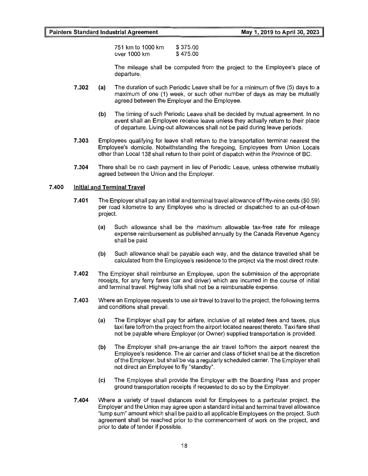751 km to 1000 km over 1000 km \$ 375.00 \$ 475.00

The mileage shall be computed from the project to the Employee's place of departure.

- **7.302** (a) The duration of such Periodic Leave shall be for a minimum of five (5) days to a maximum of one (1) week, or such other number of days as may be mutually agreed between the Employer and the Employee.
	- **(b)** The timing of such Periodic Leave shall be decided by mutual agreement. In no event shall an Employee receive leave unless they actually return to their place of departure. Living-out allowances shall not be paid during leave periods.
- **7.303** Employees qualifying for leave shall return to the transportation terminal nearest the Employee's domicile. Notwithstanding the foregoing, Employees from Union Locals other than Local 138 shall return to their point of dispatch within the Province of BC.
- **7.304** There shall be no cash payment in lieu of Periodic Leave, unless otherwise mutually agreed between the Union and the Employer.

#### **7.400 Initial and Terminal Travel**

- **7.401** The Employer shall pay an initial and terminal travel allowance of fifty-nine cents (\$0.59) per road kilometre to any Employee who is directed or dispatched to an out-of-town project.
	- **(a)** Such allowance shall be the maximum allowable tax-free rate for mileage expense reimbursement as published annually by the Canada Revenue Agency shall be paid.
	- **(b)** Such allowance shall be payable each way, and the distance travelled shall be calculated from the Employee's residence to the project via the most direct route.
- **7.402** The Employer shall reimburse an Employee, upon the submission of the appropriate receipts, for any ferry fares (car and driver) which are incurred in the course of initial and terminal travel. Highway tolls shall not be a reimbursable expense.
- **7 .403** Where an Employee requests to use air travel to travel to the project, the following terms and conditions shall prevail.
	- (a) The Employer shall pay for airfare, inclusive of all related fees and taxes, plus taxi fare to/from the project from the airport located nearest thereto. Taxi fare shall not be payable where Employer (or Owner) supplied transportation is provided.
	- **(b)** The Employer shall pre-arrange the air travel to/from the airport nearest the Employee's residence. The air carrier and class of ticket shall be at the discretion of the Employer, but shall be via a regularly scheduled carrier. The Employer shall not direct an Employee to fly "standby".
	- (c) The Employee shall provide the Employer with the Boarding Pass and proper ground transportation receipts if requested to do so by the Employer.
- **7.404** Where a variety of travel distances exist for Employees to a particular project, the Employer and the Union may agree upon a standard initial and terminal travel allowance "lump sum" amount which shall be paid to all applicable Employees on the project. Such agreement shall be reached prior to the commencement of work on the project, and prior to date of tender if possible.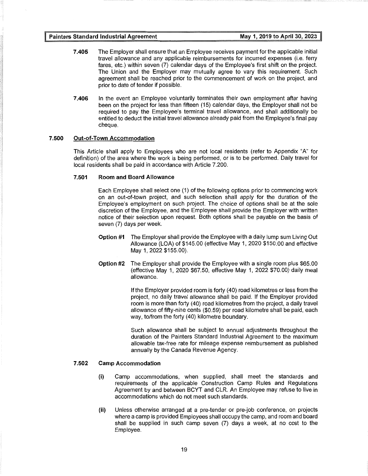- **7 .405** The Employer shall ensure that an Employee receives payment for the applicable initial travel allowance and any applicable reimbursements for incurred expenses (i.e. ferry fares, etc.) within seven (7) calendar days of the Employee's first shift on the project. The Union and the Employer may mutually agree to vary this requirement. Such agreement shall be reached prior to the commencement of work on the project, and prior to date of tender if possible.
- **7.406** In the event an Employee voluntarily terminates their own employment after having been on the project for less than fifteen (15) calendar days, the Employer shall not be required to pay the Employee's terminal travel allowance, and shall additionally be entitled to deduct the initial travel allowance already paid from the Employee's final pay cheque.

#### **7.500 Out-of-Town Accommodation**

This Article shall apply to Employees who are not local residents (refer to Appendix "A" for definition) of the area where the work is being performed, or is to be performed. Daily travel for local residents shall be paid in accordance with Article 7.200.

#### **7.501 Room and Board Allowance**

Each Employee shall select one (1) of the following options prior to commencing work on an out-of-town project, and such selection shall apply for the duration of the Employee's employment on such project. The choice of options shall be at the sole discretion of the Employee, and the Employee shall provide the Employer with written notice of their selection upon request. Both options shall be payable on the basis of seven (7) days per week.

- **Option #1** The Employer shall provide the Employee with a daily lump sum Living Out Allowance (LOA) of \$145.00 (effective May 1, 2020 \$150.00 and effective May 1, 2022 \$155.00).
- **Option #2** The Employer shall provide the Employee with a single room plus \$65.00 (effective May 1, 2020 \$67.50, effective May 1, 2022 \$70.00) daily meal allowance.

If the Employer provided room is forty (40) road kilometres or less from the project, no daily travel allowance shall be paid. If the Employer provided room is more than forty (40) road kilometres from the project, a daily travel allowance of fifty-nine cents (\$0.59) per road kilometre shall be paid, each way, to/from the forty (40) kilometre boundary.

Such allowance shall be subject to annual adjustments throughout the duration of the Painters Standard Industrial Agreement to the maximum allowable tax-free rate for mileage expense reimbursement as published annually by the Canada Revenue Agency.

#### **7.502 Camp Accommodation**

- **(i)** Camp accommodations, when supplied, shall meet the standards and requirements of the applicable Construction Camp Rules and Regulations Agreement by and between BCYT and CLR. An Employee may refuse to live in accommodations which do not meet such standards.
- **(ii)** Unless otherwise arranged at a pre-tender or pre-job conference, on projects where a camp is provided Employees shall occupy the camp, and room and board shall be supplied in such camp seven (7) days a week, at no cost to the Employee.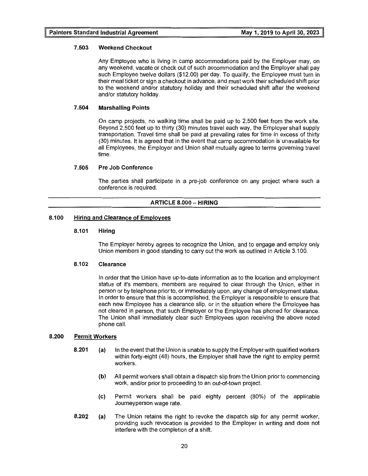#### **7 .503 Weekend Checkout**

Any Employee who is living in camp accommodations paid by the Employer may, on any weekend, vacate or check out of such accommodation and the Employer shall pay such Employee twelve dollars (\$12.00) per day. To qualify, the Employee must turn in their meal ticket or sign a checkout in advance, and must work their scheduled shift prior to the weekend and/or statutory holiday and their scheduled shift after the weekend and/or statutory holiday.

#### **7 .504 Marshalling Points**

On camp projects, no walking time shall be paid up to 2,500 feet from the work site. Beyond 2,500 feet up to thirty (30) minutes travel each way, the Employer shall supply transportation. Travel time shall be paid at prevailing rates for time in excess of thirty (30) minutes. It is agreed that in the event that camp accommodation is unavailable for all Employees, the Employer and Union shall mutually agree to terms governing travel time.

#### **7.505 Pre Job Conference**

The parties shall participate in a pre-job conference on any project where such a conference is required.

#### **ARTICLE 8.000 - HIRING**

#### **8.100 Hiring and Clearance of Employees**

#### **8.101 Hiring**

The Employer hereby agrees to recognize the Union, and to engage and employ only Union members in good standing to carry out the work as outlined in Article 3.100.

#### **8.102 Clearance**

In order that the Union have up-to-date information as to the location and employment status of it's members, members are required to clear through the Union, either in person or by telephone prior to, or immediately upon, any change of employment status. In order to ensure that this is accomplished, the Employer is responsible to ensure that each new Employee has a clearance slip, or in the situation where the Employee has not cleared in person, that such Employer or the Employee has phoned for clearance. The Union shall immediately clear such Employees upon receiving the above noted phone call.

#### **8.200 Permit Workers**

- **8.201 (a)** In the event that the Union is unable to supply the Employer with qualified workers within forty-eight (48) hours, the Employer shall have the right to employ permit workers.
	- **(b)** All permit workers shall obtain a dispatch slip from the Union prior to commencing work, and/or prior to proceeding to an out-of-town project.
	- (c) Permit workers shall be paid eighty percent (80%) of the applicable Journeyperson wage rate.
- **8.202** (a) The Union retains the right to revoke the dispatch slip for any permit worker, providing such revocation is provided to the Employer in writing and does not interfere with the completion of a shift.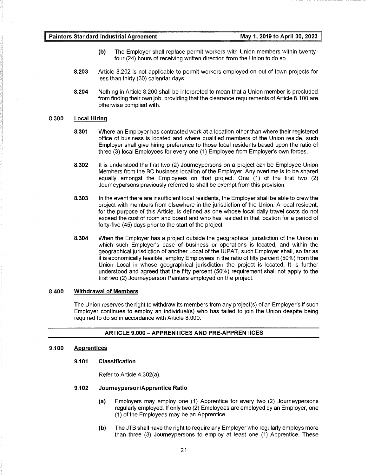- **(b)** The Employer shall replace permit workers with Union members within twentyfour (24) hours of receiving written direction from the Union to do so.
- **8.203** Article 8.202 is not applicable to permit workers employed on out-of-town projects for less than thirty (30) calendar days.
- **8.204** Nothing in Article 8.200 shall be interpreted to mean that a Union member is precluded from finding their own job, providing that the clearance requirements of Article 8.100 are otherwise complied with.

#### **8.300 Local Hiring**

- **8.301** Where an Employer has contracted work at a location other than where their registered office of business is located and where qualified members of the Union reside, such Employer shall give hiring preference to those local residents based upon the ratio of three (3) local Employees for every one (1) Employee from Employer's own forces.
- **8.302** It is understood the first two (2) Journeypersons on a project can be Employee Union Members from the BC business location of the Employer. Any overtime is to be shared equally amongst the Employees on that project. One (1) of the first two (2) Journeypersons previously referred to shall be exempt from this provision.
- **8.303** In the event there are insufficient local residents, the Employer shall be able to crew the project with members from elsewhere in the jurisdiction of the Union. A local resident, for the purpose of this Article, is defined as one whose local daily travel costs do not exceed the cost of room and board and who has resided in that location for a period of forty-five (45) days prior to the start of the project.
- **8.304** When the Employer has a project outside the geographical jurisdiction of the Union in which such Employer's base of business or operations is located, and within the geographical jurisdiction of another Local of the IUPAT, such Employer shall, so far as it is economically feasible, employ Employees in the ratio of fifty percent (50%) from the Union Local in whose geographical jurisdiction the project is located. It is further understood and agreed that the fifty percent (50%) requirement shall not apply to the first two (2) Journeyperson Painters employed on the project.

#### **8.400 Withdrawal of Members**

The Union reserves the right to withdraw its members from any project(s) of an Employer's if such Employer continues to employ an individual(s) who has failed to join the Union despite being required to do so in accordance with Article 8.000.

#### **ARTICLE 9.000 - APPRENTICES AND PRE-APPRENTICES**

#### **9.100 Apprentices**

#### **9.101 Classification**

Refer to Article 4.302(a).

#### **9.102 Journeyperson/Apprentice Ratio**

- **(a)** Employers may employ one (1) Apprentice for every two (2) Journeypersons regularly employed. If only two (2) Employees are employed by an Employer, one (1) of the Employees may be an Apprentice.
- **(b)** The JTB shall have the right to require any Employer who regularly employs more than three (3) Journeypersons to employ at least one (1) Apprentice. These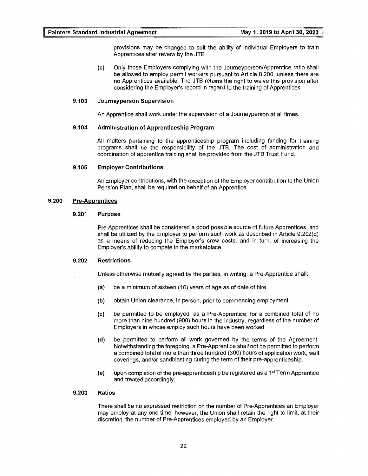provisions may be changed to suit the ability of individual Employers to train Apprentices after review by the JTB.

(c) Only those Employers complying with the Journeyperson/Apprentice ratio shall be allowed to employ permit workers pursuant to Article 8.200, unless there are no Apprentices available. The JTB retains the right to waive this provision after considering the Employer's record in regard to the training of Apprentices.

#### 9.103 Journeyperson Supervision

An Apprentice shall work under the supervision of a Journeyperson at all times.

#### 9.104 Administration of Apprenticeship Program

All matters pertaining to the apprenticeship program including funding for training programs shall be the responsibility of the JTB. The cost of administration and coordination of apprentice training shall be provided from the JTB Trust Fund.

#### 9.105 Employer Contributions

All Employer contributions, with the exception of the Employer contribution to the Union Pension Plan, shall be required on behalf of an Apprentice.

#### 9.200 Pre-Apprentices

#### 9.201 Purpose

Pre-Apprentices shall be considered a good possible source of future Apprentices, and shall be utilized by the Employer to perform such work as described in Article 9.202(d) as a means of reducing the Employer's crew costs, and in turn, of increasing the Employer's ability to compete in the marketplace.

#### 9.202 Restrictions

Unless otherwise mutually agreed by the parties, in writing, a Pre-Apprentice shall:

- (a) be a minimum of sixteen (16) years of age as of date of hire.
- (b) obtain Union clearance, in person, prior to commencing employment.
- (c) be permitted to be employed, as a Pre-Apprentice, for a combined total of no more than nine hundred (900) hours in the industry, regardless of the number of Employers in whose employ such hours have been worked.
- (d) be permitted to perform all work governed by the terms of the Agreement. Notwithstanding the foregoing, a Pre-Apprentice shall not be permitted to perform a combined total of more than three hundred (300) hours of application work, wall coverings, and/or sandblasting during the term of their pre-apprenticeship.
- (e) upon completion of the pre-apprenticeship be registered as a  $1<sup>st</sup>$  Term Apprentice and treated accordingly.

#### 9.203 Ratios

There shall be no expressed restriction on the number of Pre-Apprentices an Employer may employ at any one time, however, the Union shall retain the right to limit, at their discretion, the number of Pre-Apprentices employed by an Employer.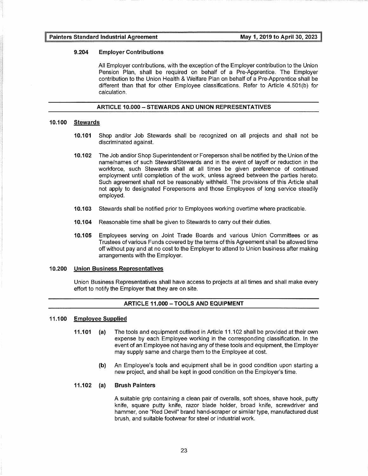#### **9.204 Employer Contributions**

All Employer contributions, with the exception of the Employer contribution to the Union Pension Plan, shall be required on behalf of a Pre-Apprentice. The Employer contribution to the Union Health & Welfare Plan on behalf of a Pre-Apprentice shall be different than that for other Employee classifications. Refer to Article 4.501(b) for calculation.

#### **ARTICLE 10.000-STEWARDS AND UNION REPRESENTATIVES**

#### **10.100 Stewards**

- **10.101** Shop and/or Job Stewards shall be recognized on all projects and shall not be discriminated against.
- **10.102** The Job and/or Shop Superintendent or Foreperson shall be notified by the Union of the name/names of such Steward/Stewards and in the event of layoff or reduction in the workforce, such Stewards shall at all times be given preference of continued employment until completion of the work, unless agreed between the parties hereto. Such agreement shall not be reasonably withheld. The provisions of this Article shall not apply to designated Forepersons and those Employees of long service steadily employed.
- **10.103** Stewards shall be notified prior to Employees working overtime where practicable.
- **10.104** Reasonable time shall be given to Stewards to carry out their duties.
- **10.105** Employees serving on Joint Trade Boards and various Union Committees or as Trustees of various Funds covered by the terms of this Agreement shall be allowed time off without pay and at no cost to the Employer to attend to Union business after making arrangements with the Employer.

#### **10.200 Union Business Representatives**

Union Business Representatives shall have access to projects at all times and shall make every effort to notify the Employer that they are on site.

#### **ARTICLE 11.000 - TOOLS AND EQUIPMENT**

#### **11.100 Employee Supplied**

- **11.101** (a) The tools and equipment outlined in Article 11.102 shall be provided at their own expense by each Employee working in the corresponding classification. In the event of an Employee not having any of these tools and equipment, the Employer may supply same and charge them to the Employee at cost.
	- **(b)** An Employee's tools and equipment shall be in good condition upon starting a new project, and shall be kept in good condition on the Employer's time.

#### **11.102 (a) Brush Painters**

A suitable grip containing a clean pair of overalls, soft shoes, shave hook, putty knife, square putty knife, razor blade holder, broad knife, screwdriver and hammer, one "Red Devil" brand hand-scraper or similar type, manufactured dust brush, and suitable footwear for steel or industrial work.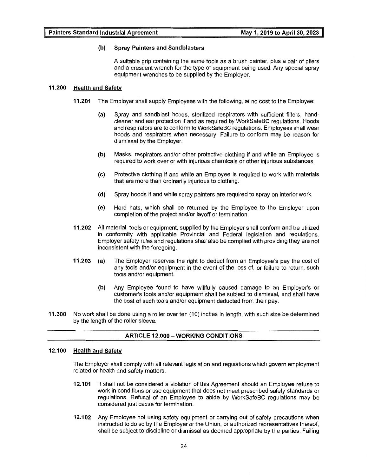#### **(b) Spray Painters and Sandblasters**

A suitable grip containing the same tools as a brush painter, plus a pair of pliers and a crescent wrench for the type of equipment being used. Any special spray equipment wrenches to be supplied by the Employer.

#### **11.200 Health and Safety**

- **11.201** The Employer shall supply Employees with the following, at no cost to the Employee:
	- (a) Spray and sandblast hoods, sterilized respirators with sufficient filters, handcleaner and ear protection if and as required by WorkSafeBC regulations. Hoods and respirators are to conform to WorkSafeBC regulations. Employees shall wear hoods and respirators when necessary. Failure to conform may be reason for dismissal by the Employer.
	- **(b)** Masks, respirators and/or other protective clothing if and while an Employee is required to work over or with injurious chemicals or other injurious substances.
	- (c) Protective clothing if and while an Employee is required to work with materials that are more than ordinarily injurious to clothing.
	- **(d)** Spray hoods if and while spray painters are required to spray on interior work.
	- (e) Hard hats, which shall be returned by the Employee to the Employer upon completion of the project and/or layoff or termination.
- **11.202** All material, tools or equipment, supplied by the Employer shall conform and be utilized in conformity with applicable Provincial and Federal legislation and regulations. Employer safety rules and regulations shall also be complied with providing they are not inconsistent with the foregoing.
- **11.203** (a) The Employer reserves the right to deduct from an Employee's pay the cost of any tools and/or equipment in the event of the loss of, or failure to return, such tools and/or equipment.
	- **(b)** Any Employee found to have willfully caused damage to an Employer's or customer's tools and/or equipment shall be subject to dismissal, and shall have the cost of such tools and/or equipment deducted from their pay.
- **11.300** No work shall be done using a roller over ten (10) inches in length, with such size be determined by the length of the roller sleeve.

#### **ARTICLE 12.000 -WORKING CONDITIONS**

#### **12.100 Health and Safety**

The Employer shall comply with all relevant legislation and regulations which govern employment related or health and safety matters.

- **12.101** It shall not be considered a violation of this Agreement should an Employee refuse to work in conditions or use equipment that does not meet prescribed safety standards or regulations. Refusal of an Employee to abide by WorkSafeBC regulations may be considered just cause for termination.
- **12.102** Any Employee not using safety equipment or carrying out of safety precautions when instructed to do so by the Employer or the Union, or authorized representatives thereof, shall be subject to discipline or dismissal as deemed appropriate by the parties. Failing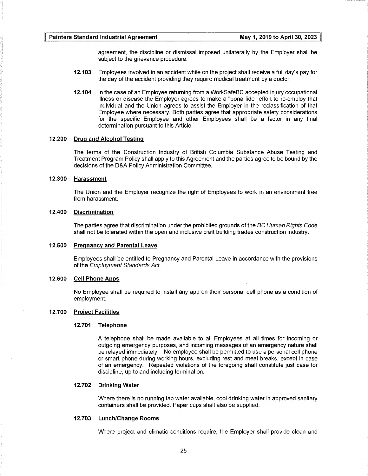agreement, the discipline or dismissal imposed unilaterally by the Employer shall be subject to the grievance procedure.

- **12.103** Employees involved in an accident while on the project shall receive a full day's pay for the day of the accident providing they require medical treatment by a doctor.
- **12.104** In the case of an Employee returning from a WorkSafeBC accepted injury occupational illness or disease the Employer agrees to make a "bona fide" effort to re-employ that individual and the Union agrees to assist the Employer in the reclassification of that Employee where necessary. Both parties agree that appropriate safety considerations for the specific Employee and other Employees shall be a factor in any final determination pursuant to this Article.

#### **12.200 Drug and Alcohol Testing**

The terms of the Construction Industry of British Columbia Substance Abuse Testing and Treatment Program Policy shall apply to this Agreement and the parties agree to be bound by the decisions of the D&A Policy Administration Committee.

#### **12.300 Harassment**

The Union and the Employer recognize the right of Employees to work in an environment free from harassment.

#### **12.400 Discrimination**

The parties agree that discrimination under the prohibited grounds of the BC Human Rights Code shall not be tolerated within the open and inclusive craft building trades construction industry.

#### **12.500 Pregnancy and Parental Leave**

Employees shall be entitled to Pregnancy and Parental Leave in accordance with the provisions of the Employment Standards Act.

#### **12.600 Cell Phone Apps**

No Employee shall be required to install any app on their personal cell phone as a condition of employment.

#### **12.700 Project Facilities**

#### **12.701 Telephone**

A telephone shall be made available to all Employees at all times for incoming or outgoing emergency purposes, and incoming messages of an emergency nature shall be relayed immediately. No employee shall be permitted to use a personal cell phone or smart phone during working hours, excluding rest and meal breaks, except in case of an emergency. Repeated violations of the foregoing shall constitute just case for discipline, up to and including termination.

#### **12.702 Drinking Water**

Where there is no running tap water available, cool drinking water in approved sanitary containers shall be provided. Paper cups shall also be supplied.

#### **12.703 Lunch/Change Rooms**

Where project and climatic conditions require, the Employer shall provide clean and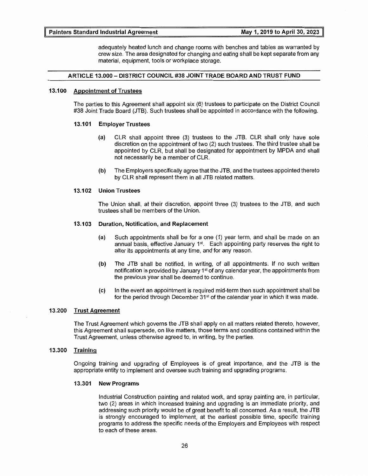adequately heated lunch and change rooms with benches and tables as warranted by crew size. The area designated for changing and eating shall be kept separate from any material, equipment, tools or workplace storage.

#### ARTICLE 13.000 - DISTRICT COUNCIL #38 JOINT TRADE BOARD AND TRUST FUND

#### 13.100 Appointment of Trustees

The parties to this Agreement shall appoint six (6) trustees to participate on the District Council #38 Joint Trade Board (JTB). Such trustees shall be appointed in accordance with the following.

#### 13.101 Employer Trustees

- (a) CLR shall appoint three (3) trustees to the JTB. CLR shall only have sole discretion on the appointment of two (2) such trustees. The third trustee shall be appointed by CLR, but shall be designated for appointment by MPDA and shall not necessarily be a member of CLR.
- (b) The Employers specifically agree that the JTB, and the trustees appointed thereto by CLR shall represent them in all JTB related matters.

#### 13.102 Union Trustees

The Union shall, at their discretion, appoint three (3) trustees to the JTB, and such trustees shall be members of the Union.

#### 13.103 Duration, Notification, and Replacement

- (a) Such appointments shall be for a one (1) year term, and shall be made on an annual basis, effective January  $1<sup>st</sup>$ . Each appointing party reserves the right to alter its appointments at any time, and for any reason.
- (b) The JTB shall be notified, in writing, of all appointments. If no such written notification is provided by January 1<sup>st</sup> of any calendar year, the appointments from the previous year shall be deemed to continue.
- (c) In the event an appointment is required mid-term then such appointment shall be for the period through December  $31<sup>st</sup>$  of the calendar year in which it was made.

#### 13.200 Trust Agreement

The Trust Agreement which governs the JTB shall apply on all matters related thereto, however, this Agreement shall supersede, on like matters, those terms and conditions contained within the Trust Agreement, unless otherwise agreed to, in writing, by the parties.

#### 13.300 Training

Ongoing training and upgrading of Employees is of great importance, and the JTB is the appropriate entity to implement and oversee such training and upgrading programs.

#### 13.301 New Programs

Industrial Construction painting and related work, and spray painting are, in particular, two (2) areas in which increased training and upgrading is an immediate priority, and addressing such priority would be of great benefit to all concerned. As a result, the JTB is strongly encouraged to implement, at the earliest possible time, specific training programs to address the specific needs of the Employers and Employees with respect to each of these areas.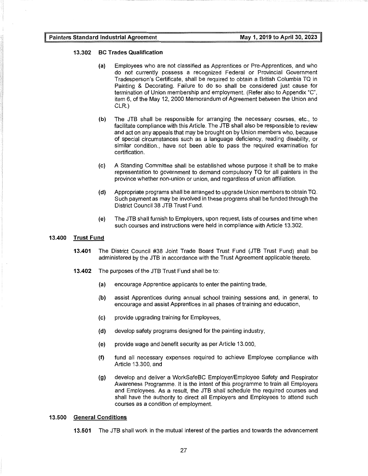#### **13.302 BC Trades Qualification**

- (a) Employees who are not classified as Apprentices or Pre-Apprentices, and who do not currently possess a recognized Federal or Provincial Government Tradesperson's Certificate, shall be required to obtain a British Columbia TQ in Painting & Decorating. Failure to do so shall be considered just cause for termination of Union membership and employment. (Refer also to Appendix "C", item 6, of the May 12, 2000 Memorandum of Agreement between the Union and CLR.)
- **(b)** The JTB shall be responsible for arranging the necessary courses, etc., to facilitate compliance with this Article. The JTB shall also be responsible to review and act on any appeals that may be brought on by Union members who, because of special circumstances such as a language deficiency, reading disability, or similar condition., have not been able to pass the required examination for certification.
- (c) A Standing Committee shall be established whose purpose it shall be to make representation to government to demand compulsory TQ for all painters in the province whether non-union or union, and regardless of union affiliation.
- **(d)** Appropriate programs shall be arranged to upgrade Union members to obtain TQ. Such payment as may be involved in these programs shall be funded through the District Council 38 JTB Trust Fund.
- (e) The JTB shall furnish to Employers, upon request, lists of courses and time when such courses and instructions were held in compliance with Article 13.302.

#### **13.400 Trust Fund**

- **13.401** The District Council #38 Joint Trade Board Trust Fund (JTB Trust Fund) shall be administered by the JTB in accordance with the Trust Agreement applicable thereto.
- **13.402** The purposes of the JTB Trust Fund shall be to:
	- (a) encourage Apprentice applicants to enter the painting trade,
	- **(b)** assist Apprentices during annual school training sessions and, in general, to encourage and assist Apprentices in all phases of training and education,
	- (c) provide upgrading training for Employees,
	- **(d)** develop safety programs designed for the painting industry,
	- (e) provide wage and benefit security as per Article 13.000,
	- **(f)** fund all necessary expenses required to achieve Employee compliance with Article 13.300, and
	- (g) develop and deliver a WorkSafeBC Employer/Employee Safety and Respirator Awareness Programme. It is the intent of this programme to train all Employers and Employees. As a result, the JTB shall schedule the required courses and shall have the authority to direct all Employers and Employees to attend such courses as a condition of employment.

#### **13.500 General Conditions**

**13.501** The JTB shall work in the mutual interest of the parties and towards the advancement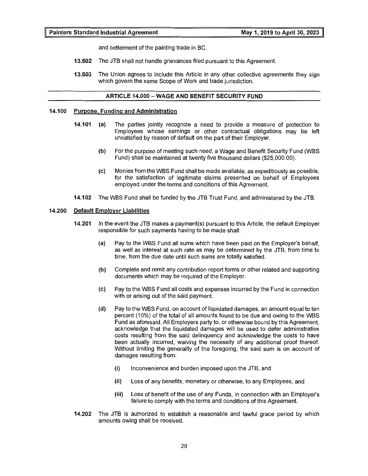and betterment of the painting trade in BC.

- **13.502** The JTB shall not handle grievances filed pursuant to this Agreement.
- **13.503** The Union agrees to include this Article in any other collective agreements they sign which govern the same Scope of Work and trade jurisdiction.

#### **ARTICLE 14.000 - WAGE AND BENEFIT SECURITY FUND**

#### **14.100 Purpose, Funding and Administration**

- **14.101** (a) The parties jointly recognize a need to provide a measure of protection to Employees whose earnings or other contractual obligations may be left unsatisfied by reason of default on the part of their Employer.
	- **(b)** For the purpose of meeting such need, a Wage and Benefit Security Fund (WBS Fund) shall be maintained at twenty five thousand dollars (\$25,000.00).
	- (c) Monies from the WBS Fund shall be made available, as expeditiously as possible, for the satisfaction of legitimate claims presented on behalf of Employees employed under the terms and conditions of this Agreement.
- **14.102** The WBS Fund shall be funded by the JTB Trust Fund, and administered by the JTB.

#### **14.200 Default Employer Liabilities**

- **14.201** In the event the JTB makes a payment(s) pursuant to this Article, the default Employer responsible for such payments having to be made shall:
	- **(a)** Pay to the WBS Fund all sums which have been paid on the Employer's behalf, as well as interest at such rate as may be determined by the JTB, from time to time, from the due date until such sums are totally satisfied.
	- **(b)** Complete and remit any contribution report forms or other related and supporting documents which may be required of the Employer.
	- (c) Pay to the WBS Fund all costs and expenses incurred by the Fund in connection with or arising out of the said payment.
	- **(d)** Pay to the WBS Fund, on account of liquidated damages, an amount equal to ten percent (10%) of the total of all amounts found to be due and owing to the WBS Fund as aforesaid. All Employers party to, or otherwise bound by this Agreement, acknowledge that the liquidated damages will be used to defer administrative costs resulting from the said delinquency and acknowledge the costs to have been actually incurred, waiving the necessity of any additional proof thereof. Without limiting the generality of the foregoing, the said sum is on account of damages resulting from:
		- **(i)** Inconvenience and burden imposed upon the JTB, and
		- **(ii)** Loss of any benefits, monetary or otherwise, to any Employees, and
		- **(iii)** Loss of benefit of the use of any Funds, in connection with an Employer's failure to comply with the terms and conditions of this Agreement.
- **14.202** The JTB is authorized to establish a reasonable and lawful grace period by which amounts owing shall be received.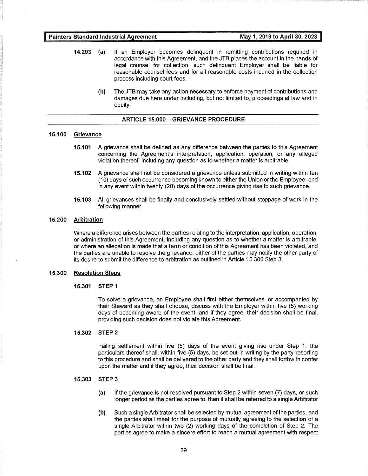- **14.203** (a) If an Employer becomes delinquent in remitting contributions required in accordance with this Agreement, and the JTB places the account in the hands of legal counsel for collection, such delinquent Employer shall be liable for reasonable counsel fees and for all reasonable costs incurred in the collection process including court fees.
	- **(b)** The JTB may take any action necessary to enforce payment of contributions and damages due here under including, but not limited to, proceedings at law and in equity.

#### **ARTICLE 15.000-GRIEVANCE PROCEDURE**

#### **15.100 Grievance**

- **15.101** A grievance shall be defined as any difference between the parties to this Agreement concerning the Agreement's interpretation, application, operation, or any alleged violation thereof, including any question as to whether a matter is arbitrable.
- **15.102** A grievance shall not be considered a grievance unless submitted in writing within ten (10) days of such occurrence becoming known to either the Union or the Employee, and in any event within twenty (20) days of the occurrence giving rise to such grievance.
- **15.103** All grievances shall be finally and conclusively settled without stoppage of work in the following manner.

#### **15.200 Arbitration**

Where a difference arises between the parties relating to the interpretation, application, operation, or administration of this Agreement, including any question as to whether a matter is arbitrable, or where an allegation is made that a term or condition of this Agreement has been violated, and the parties are unable to resolve the grievance, either of the parties may notify the other party of its desire to submit the difference to arbitration as outlined in Article 15.300 Step 3.

#### **15.300 Resolution Steps**

#### **15.301 STEP 1**

To solve a grievance, an Employee shall first either themselves, or accompanied by their Steward as they shall choose, discuss with the Employer within five (5) working days of becoming aware of the event, and if they agree, their decision shall be final, providing such decision does not violate this Agreement.

#### **15.302 STEP 2**

Failing settlement within five (5) days of the event giving rise under Step 1, the particulars thereof shall, within five (5) days, be set out in writing by the party resorting to this procedure and shall be delivered to the other party and they shall forthwith confer upon the matter and if they agree, their decision shall be final.

#### **15.303 STEP 3**

- (a) If the grievance is not resolved pursuant to Step 2 within seven (7) days, or such longer period as the parties agree to, then it shall be referred to a single Arbitrator
- **(b)** Such a single Arbitrator shall be selected by mutual agreement of the parties, and the parties shall meet for the purpose of mutually agreeing to the selection of a single Arbitrator within two (2) working days of the completion of Step 2. The parties agree to make a sincere effort to reach a mutual agreement with respect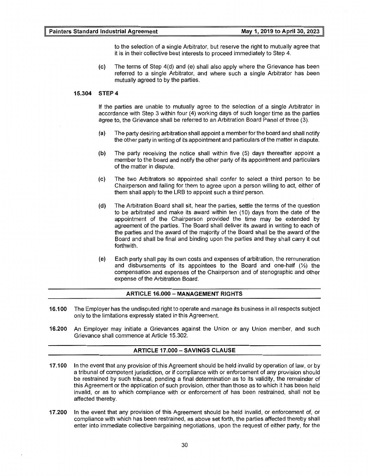to the selection of a single Arbitrator, but reserve the right to mutually agree that it is in their collective best interests to proceed immediately to Step 4.

(c) The terms of Step 4(d) and (e) shall also apply where the Grievance has been referred to a single Arbitrator, and where such a single Arbitrator has been mutually agreed to by the parties.

#### **15.304 STEP 4**

If the parties are unable to mutually agree to the selection of a single Arbitrator in accordance with Step 3 within four (4) working days of such longer time as the parties agree to, the Grievance shall be referred to an Arbitration Board Panel of three (3).

- (a) The party desiring arbitration shall appoint a memberforthe board and shall notify the other party in writing of its appointment and particulars of the matter in dispute.
- **(b)** The party receiving the notice shall within five (5) days thereafter appoint a member to the board and notify the other party of its appointment and particulars of the matter in dispute.
- (c) The two Arbitrators so appointed shall confer to select a third person to be Chairperson and failing for them to agree upon a person willing to act, either of them shall apply to the LRB to appoint such a third person.
- **(d)** The Arbitration Board shall sit, hear the parties, settle the terms of the question to be arbitrated and make its award within ten (10) days from the date of the appointment of the Chairperson provided the time may be extended by agreement of the parties. The Board shall deliver its award in writing to each of the parties and the award of the majority of the Board shall be the award of the Board and shall be final and binding upon the parties and they shall carry it out forthwith.
- (e) Each party shall pay its own costs and expenses of arbitration, the remuneration and disbursements of its appointees to the Board and one-half  $\mathcal{V}_2$  the compensation and expenses of the Chairperson and of stenographic and other expense of the Arbitration Board.

#### **ARTICLE 16.000-MANAGEMENT RIGHTS**

- **16.100** The Employer has the undisputed right to operate and manage its business in all respects subject only to the limitations expressly stated in this Agreement.
- **16.200** An Employer may initiate a Grievances against the Union or any Union member, and such Grievance shall commence at Article 15.302.

#### **ARTICLE 17.000- SAVINGS CLAUSE**

- **17.100** In the event that any provision of this Agreement should be held invalid by operation of law, or by a tribunal of competent jurisdiction, or if compliance with or enforcement of any provision should be restrained by such tribunal, pending a final determination as to its validity, the remainder of this Agreement or the application of such provision, other than those as to which it has been held invalid, or as to which compliance with or enforcement of has been restrained, shall not be affected thereby.
- **17.200** In the event that any provision of this Agreement should be held invalid, or enforcement of, or compliance with which has been restrained, as above set forth, the parties affected thereby shall enter into immediate collective bargaining negotiations, upon the request of either party, for the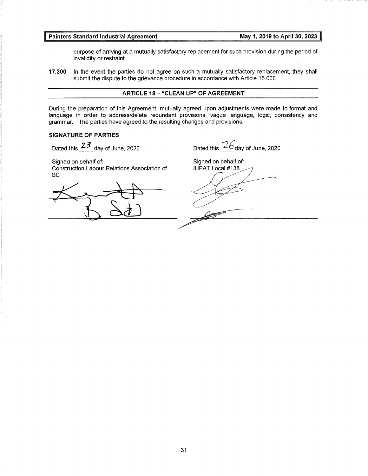purpose of arriving at a mutually satisfactory replacement for such provision during the period of invalidity or restraint.

**17.300** In the event the parties do not agree on such a mutually satisfactory replacement, they shall submit the dispute to the grievance procedure in accordance with Article 15.000.

#### **ARTICLE 18- "CLEAN UP" OF AGREEMENT**

During the preparation of this Agreement, mutually agreed upon adjustments were made to format and language in order to address/delete redundant provisions, vague language, logic, consistency and grammar. The parties have agreed to the resulting changes and provisions.

#### **SIGNATURE OF PARTIES**

Dated this  $23$  day of June, 2020

Signed on behalf of:

Construction Labour Relations Association of BC

Dated this  $26$  day of June, 2020

Signed on behalf of: IUPAT Local #138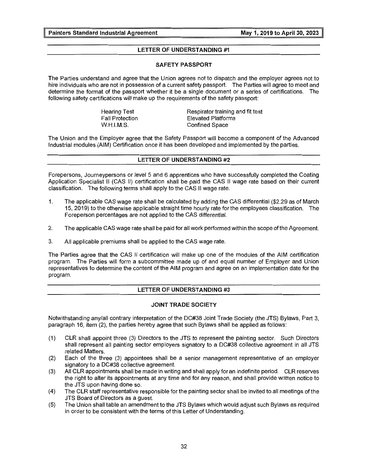#### **LETTER OF UNDERSTANDING #1**

#### **SAFETY PASSPORT**

The Parties understand and agree that the Union agrees not to dispatch and the employer agrees not to hire individuals who are not in possession of a current safety passport. The Parties will agree to meet and determine the format of the passport whether it be a single document or a series of certifications. The following safety certifications will make up the requirements of the safety passport:

> Hearing Test Fall Protection W.H.l.M.S.

Respirator training and fit test Elevated Platforms Confined Space

The Union and the Employer agree that the Safety Passport will become a component of the Advanced Industrial modules (AIM) Certification once it has been developed and implemented by the parties.

#### **LETTER OF UNDERSTANDING #2**

Forepersons, Journeypersons or level 5 and 6 apprentices who have successfully completed the Coating Application Specialist II (CAS II) certification shall be paid the CAS II wage rate based on their current classification. The following terms shall apply to the CAS II wage rate.

- 1. The applicable CAS wage rate shall be calculated by adding the CAS differential (\$2.29 as of March 15, 2019) to the otherwise applicable straight time hourly rate for the employees classification. The Foreperson percentages are not applied to the CAS differential.
- 2. The applicable CAS wage rate shall be paid for all work performed within the scope of the Agreement.
- 3. All applicable premiums shall be applied to the CAS wage rate.

The Parties agree that the CAS II certification will make up one of the modules of the AIM certification program. The Parties will form a subcommittee made up of and equal number of Employer and Union representatives to determine the content of the AIM program and agree on an implementation date for the program.

#### **LETTER OF UNDERSTANDING #3**

#### **JOINT TRADE SOCIETY**

Notwithstanding any/all contrary interpretation of the DC#38 Joint Trade Society (the JTS) Bylaws, Part 3, paragraph 16, item (2), the parties hereby agree that such Bylaws shall be applied as follows:

- (1) CLR shall appoint three (3) Directors to the JTS to represent the painting sector. Such Directors shall represent all painting sector employers signatory to a DC#38 collective agreement in all JTS related Matters.
- (2) Each of the three (3) appointees shall be a senior management representative of an employer signatory to a DC#38 collective agreement.
- (3) All CLR appointments shall be made in writing and shall apply for an indefinite period. CLR reserves the right to alter its appointments at any time and for any reason, and shall provide written notice to the JTS upon having done so.
- (4) The CLR staff representative responsible for the painting sector shall be invited to all meetings of the JTS Board of Directors as a guest.
- (5) The Union shall table an amendment to the JTS Bylaws which would adjust such Bylaws as required in order to be consistent with the terms of this Letter of Understanding.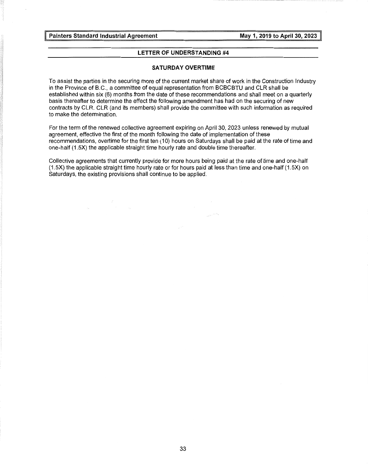#### **LETTER OF UNDERSTANDING #4**

#### **SATURDAY OVERTIME**

To assist the parties in the securing more of the current market share of work in the Construction Industry in the Province of B.C., a committee of equal representation from BCBCBTU and CLR shall be established within six (6) months from the date of these recommendations and shall meet on a quarterly basis thereafter to determine the effect the following amendment has had on the securing of new contracts by CLR. CLR (and its members) shall provide the committee with such information as required to make the determination.

For the term of the renewed collective agreement expiring on April 30, 2023 unless renewed by mutual agreement, effective the first of the month following the date of implementation of these recommendations, overtime for the first ten (10) hours on Saturdays shall be paid at the rate of time and one-half (1.5X) the applicable straight time hourly rate and double time thereafter.

Collective agreements that currently provide for more hours being paid at the rate of time and one-half (1.5X) the applicable straight time hourly rate or for hours paid at less than time and one-half (1.5X) on Saturdays, the existing provisions shall continue to be applied.

 $\frac{1}{\sqrt{2}}\int_{\mathbb{R}^{2}}\frac{1}{\sqrt{2}}\,e^{-i\omega t}dt$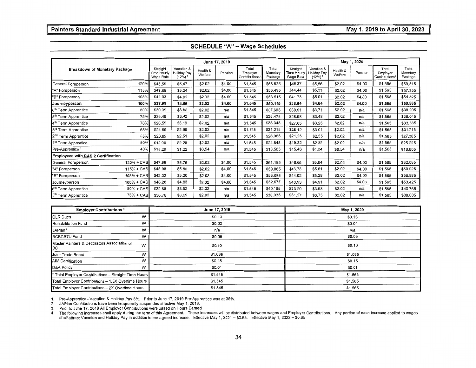|                                           |              |                                      |                                                          |                     | June 17, 2019 |                                     |                              |                                      |                                                    |                     | May 1, 2020 |                                     |                              |
|-------------------------------------------|--------------|--------------------------------------|----------------------------------------------------------|---------------------|---------------|-------------------------------------|------------------------------|--------------------------------------|----------------------------------------------------|---------------------|-------------|-------------------------------------|------------------------------|
| Breakdown of Monetary Package             |              | Straight<br>Time Hourly<br>Wage Rate | Vacation &<br><b>Holiday Pay</b><br>$(12%)$ <sup>1</sup> | Health &<br>Welfare | Pension       | Total<br>Employer<br>Contributions* | Total<br>Monetary<br>Package | Straight<br>Time Hourly<br>Wage Rate | Vacation &<br>Holiday Pay<br>$(12\%)$ <sup>1</sup> | Health &<br>Welfare | Pension     | Total<br>Employer<br>Contributions* | Total<br>Monetary<br>Package |
| General Foreperson                        | 120%         | \$45.59                              | \$5.47                                                   | \$2.02              | \$4.00        | \$1,545                             | \$58,625                     | \$46.37                              | \$5,56                                             | \$2.02              | \$4,00      | \$1.565                             | \$59,515                     |
| "A" Foreperson                            | 115%         | \$43.69                              | \$5.24                                                   | \$2,02              | \$4.00        | \$1,545                             | \$56,495                     | \$44,44                              | \$5,33                                             | \$2.02              | \$4.00      | \$1,565                             | \$57,355                     |
| "B" Foreperson                            | 108%         | \$41.03                              | \$4.92                                                   | \$2.02              | \$4.00        | \$1.545                             | \$53.515                     | \$41.73                              | \$5.01                                             | \$2.02              | \$4.00      | \$1.565                             | \$54.325                     |
| Journeyperson                             | 100%         | \$37,99                              | \$4.56                                                   | \$2.02              | \$4.00        | \$1.545                             | \$50,115                     | \$38.64                              | \$4.64                                             | \$2.02              | \$4.00      | \$1.565                             | \$50.865                     |
| 6 <sup>th</sup> Term Apprentice           | 80%          | \$30.39                              | \$3.65                                                   | \$2.02              | n/a           | \$1.545                             | \$37,605                     | \$30.91                              | \$3.71                                             | \$2.02              | n/a         | \$1.565                             | \$38.205                     |
| 5 <sup>th</sup> Term Apprentice           | 75%          | \$28.49                              | \$3.42                                                   | \$2.02              | n/a           | \$1.545                             | \$35.475                     | \$28.98                              | \$3.48                                             | \$2.02              | n/a         | \$1.565                             | \$36.045                     |
| 4 <sup>th</sup> Term Apprentice           | 70%          | \$26.59                              | \$3.19                                                   | \$2.02              | n/a           | \$1.545                             | \$33,345                     | \$27.05                              | \$3.25                                             | \$2.02              | n/a         | \$1.565                             | \$33.885                     |
| 3rd Term Apprentice                       | 65%          | \$24.69                              | \$2.96                                                   | \$2.02              | n/a           | \$1.545                             | \$31.215                     | \$25.12                              | \$3.01                                             | \$2.02              | n/a         | \$1.565                             | \$31,715                     |
| 2 <sup>nd</sup> Term Apprentice           | 55%          | \$20,89                              | \$2.51                                                   | \$2.02              | n/a           | \$1.545                             | \$26.965                     | \$21.25                              | \$2.55                                             | \$2.02              | n/a         | \$1.565                             | \$27,385                     |
| 1 <sup>st</sup> Term Apprentice           | 50%          | \$19.00                              | \$2.28                                                   | \$2.02              | n/a           | \$1.545                             | \$24.845                     | \$19.32                              | \$2.32                                             | \$2.02              | n/a         | \$1.565                             | \$25.225                     |
| Pre-Apprentice <sup>1</sup>               | 40%          | \$15.20                              | \$1.22                                                   | \$0.54              | n/a           | \$1.545                             | \$18,505                     | \$15,46                              | \$1.24                                             | \$0.54              | n/a         | \$1.565                             | \$18,805                     |
| <b>Employees with CAS 2 Certification</b> |              |                                      |                                                          |                     |               |                                     |                              |                                      |                                                    |                     |             |                                     |                              |
| General Foreperson                        | 120% + CAS   | \$47.88                              | \$5.75                                                   | \$2.02              | \$4.00        | \$1.545                             | \$61.195                     | \$48.66                              | \$5.84                                             | \$2.02              | \$4.00      | \$1.565                             | \$62.085                     |
| "A" Foreperson                            | $115% + CAS$ | \$45.98                              | \$5.52                                                   | \$2.02              | \$4.00        | \$1.545                             | \$59,065                     | \$46.73                              | \$5.61                                             | \$2,02              | \$4.00      | \$1.565                             | \$59.925                     |
| "B" Foreperson                            | 108% + CAS   | \$43,32                              | \$5.20                                                   | \$2,02              | \$4.00        | \$1,545                             | \$56.085                     | \$44.02                              | \$5.28                                             | \$2.02              | \$4.00      | \$1,565                             | \$56.885                     |
| Journeyperson                             | $100% + CAS$ | \$40.28                              | \$4.83                                                   | \$2,02              | \$4.00        | \$1.545                             | \$52,675                     | \$40.93                              | \$4.91                                             | \$2.02              | \$4.00      | \$1.565                             | \$53.425                     |
| 6 <sup>th</sup> Term Apprentice           | 80% + CAS    | \$32.68                              | \$3.92                                                   | \$2.02              | n/a           | \$1.545                             | \$40.165                     | \$33.20                              | \$3.98                                             | \$2.02              | n/a         | \$1.565                             | \$40.765                     |
| 5 <sup>th</sup> Term Apprentice           | 75% + CAS    | \$30.78                              | \$3.69                                                   | \$2.02              | n/a           | \$1,545                             | \$38,035                     | \$31,27                              | \$3.75                                             | \$2.02              | n/a         | \$1.565                             | \$38,605                     |

| <b>Employer Contributions 3</b>                        | June 17, 2019 | May 1, 2020 |
|--------------------------------------------------------|---------------|-------------|
| <b>CLR Dues</b><br>W                                   | \$0.13        | \$0.13      |
| <b>Rehabilitation Fund</b><br>W                        | \$0.02        | \$0.04      |
| JAPlan <sup>2</sup><br>W                               | n/a           | n/a         |
| <b>BCBCBTU Fund</b><br>W                               | \$0.05        | \$0.05      |
| Master Painters & Decorators Association of<br>W<br>BC | \$0.10        | \$0.10      |
| W<br>Joint Trade Board                                 | \$1.085       | \$1.085     |
| <b>AIM Certification</b><br>W                          | \$0.15        | \$0.15      |
| D&A Policy<br>w                                        | \$0.01        | \$0.01      |
| * Total Employer Contributions - Straight Time Hours   | \$1,545       | \$1.565     |
| Total Employer Contributions - 1.5X Overtime Hours     | \$1,545       | \$1,565     |
| Total Employer Contributions - 2X Overtime Hours       | \$1.545       | \$1,565     |

1. Pre-Apprentice-Vacation & Holiday Pay 8%. Prior to June 17, 2019 Pre-Apprentice was at 35%.

2. JAPlan Contributions have been temporarily suspended effective May 1, 2018.

3. Prior to June 17, 2019 All Employer Contributions were based on Hours Earned<br>4. The following increases shall apply during the term of this Agreement. These increases will be distributed between wages and Employer C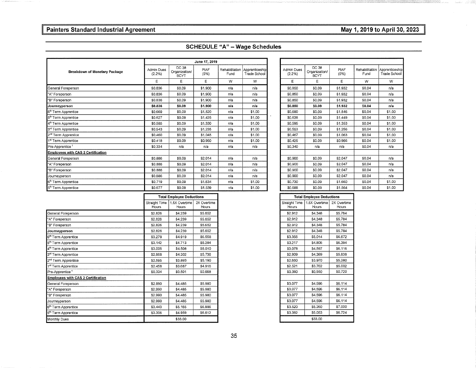٦

|  | <b>SCHEDULE "A" - Wage Schedules</b> |
|--|--------------------------------------|
|--|--------------------------------------|

|                                      |                                |                                       | June 17, 2019       |      |                                                      |                      |                                       |                     |        |                                                      |
|--------------------------------------|--------------------------------|---------------------------------------|---------------------|------|------------------------------------------------------|----------------------|---------------------------------------|---------------------|--------|------------------------------------------------------|
| <b>Breakdown of Monetary Package</b> | <b>Admin Dues</b><br>$(2.2\%)$ | DC 38<br>Organization/<br><b>BCYT</b> | <b>PIAF</b><br>(5%) | Fund | Rehabilitation Apprenticeship<br><b>Trade School</b> | Admin Dues<br>(2.2%) | DC 38<br>Organization/<br><b>BCYT</b> | <b>PIAF</b><br>(5%) | Fund   | Rehabilitation Apprenticeship<br><b>Trade School</b> |
|                                      | E                              | E                                     | Е                   | W    | W                                                    | E.                   | Е                                     | Е                   | W      | W                                                    |
| General Foreperson                   | \$0,836                        | \$0.09                                | \$1,900             | n/a  | n/a                                                  | \$0,850              | \$0.09                                | \$1,932             | \$0.04 | n/a                                                  |
| "A" Foreperson                       | \$0.836                        | \$0.09                                | \$1,900             | n/a  | n/a                                                  | \$0,850              | \$0.09                                | \$1,932             | \$0,04 | n/a                                                  |
| "B" Foreperson                       | \$0.836                        | \$0.09                                | \$1,900             | n/a  | n/a                                                  | \$0,850              | \$0.09                                | \$1,932             | \$0,04 | n/a                                                  |
| Journeyperson                        | \$0.836                        | \$0.09                                | \$1.900             | n/a  | n/a                                                  | \$0,850              | \$0.09                                | \$1,932             | \$0.04 | n/a                                                  |
| 6 <sup>th</sup> Term Apprentice      | \$0.669                        | \$0.09                                | \$1,520             | n/a  | \$1,00                                               | \$0,680              | \$0.09                                | \$1,546             | \$0.04 | \$1,00                                               |
| 5 <sup>th</sup> Term Apprentice      | \$0.627                        | \$0.09                                | \$1.425             | n/a  | \$1.00                                               | \$0,638              | \$0.09                                | \$1,449             | \$0.04 | \$1,00                                               |
| 4 <sup>th</sup> Term Apprentice      | \$0,585                        | \$0.09                                | \$1.330             | n/a  | \$1.00                                               | \$0,595              | \$0.09                                | \$1,353             | \$0.04 | \$1.00                                               |
| 3rd Term Apprentice                  | \$0.543                        | \$0.09                                | \$1,235             | n/a  | \$1.00                                               | \$0.553              | \$0.09                                | \$1.256             | \$0.04 | \$1.00                                               |
| 2 <sup>nd</sup> Term Apprentice      | \$0,460                        | \$0.09                                | \$1,045             | n/a  | \$1.00                                               | \$0,467              | \$0.09                                | \$1.063             | \$0.04 | \$1,00                                               |
| 1 <sup>st</sup> Term Apprentice      | \$0.418                        | \$0.09                                | \$0.950             | n/a  | \$1.00                                               | \$0.425              | \$0.09                                | \$0,966             | \$0.04 | \$1.00                                               |
| Pre-Apprentice <sup>1</sup>          | \$0,334                        | n/a                                   | n/a                 | n/a  | n/a                                                  | \$0,340              | n/a                                   | n/a                 | \$0.04 | n/a                                                  |
| Employees with CAS 2 Certification   |                                |                                       |                     |      |                                                      |                      |                                       |                     |        |                                                      |
| General Foreperson                   | \$0,886                        | \$0.09                                | \$2.014             | n/a  | n/a                                                  | \$0,900              | \$0.09                                | \$2.047             | \$0.04 | n/a                                                  |
| "A" Foreperson                       | \$0,886                        | \$0.09                                | \$2.014             | n/a  | n/a                                                  | \$0,900              | \$0.09                                | \$2.047             | \$0.04 | n/a                                                  |
| "B" Foreperson                       | \$0,886                        | \$0.09                                | \$2,014             | n/a  | n/a                                                  | \$0,900              | \$0.09                                | \$2.047             | \$0,04 | n/a                                                  |
| Journeyperson                        | \$0,886                        | \$0.09                                | \$2,014             | n/a  | n/a                                                  | \$0,900              | \$0.09                                | \$2,047             | \$0.04 | n/a                                                  |
| 6 <sup>th</sup> Term Apprentice      | \$0,719                        | \$0.09                                | \$1.634             | n/a  | \$1.00                                               | \$0.730              | \$0.09                                | \$1,660             | \$0.04 | \$1,00                                               |
| 5 <sup>th</sup> Term Apprentice      | \$0.677                        | \$0.09                                | \$1.539             | n/a  | \$1.00                                               | \$0,688              | \$0.09                                | \$1,564             | \$0.04 | \$1.00                                               |

|               |                                       | June 17, 2019       |      |                                                      |
|---------------|---------------------------------------|---------------------|------|------------------------------------------------------|
| n Dues<br>2%) | DC 38<br>Organization/<br><b>BCYT</b> | <b>PIAF</b><br>(5%) | Fund | Rehabilitation Apprenticeship<br><b>Trade School</b> |
| E             | E                                     | E                   | W    | W                                                    |
| 836           | \$0.09                                | \$1,900             | n/a  | n/a                                                  |
| 836           | \$0.09                                | \$1,900             | n/a  | n/a                                                  |
| 836           | \$0.09                                | \$1,900             | n/a  | n/a                                                  |
| 836           | \$0.09                                | \$1.900             | n/a  | n/a                                                  |
| 669           | \$0.09                                | \$1,520             | n/a  | \$1,00                                               |
| 627           | \$0.09                                | \$1.425             | n/a  | \$1.00                                               |
| 585           | \$0.09                                | \$1.330             | n/a  | \$1.00                                               |
| 543           | \$0.09                                | \$1,235             | n/a  | \$1.00                                               |
| 460           | \$0.09                                | \$1,045             | n/a  | \$1.00                                               |
| 418           | \$0.09                                | \$0.950             | n/a  | \$1.00                                               |
| 334           | n/a                                   | n/a                 | n/a  | n/a                                                  |
|               |                                       |                     |      |                                                      |
| 886           | \$0.09                                | \$2,014             | n/a  | n/a                                                  |
| 886           | \$0.09                                | \$2.014             | n/a  | n/a                                                  |
| 886           | \$0.09                                | \$2.014             | n/a  | n/a                                                  |
| 886           | \$0.09                                | \$2.014             | n/a  | n/a                                                  |
| 719           | \$0.09                                | \$1.634             | n/a  | \$1.00                                               |
| 677           | \$0.09                                | \$1.539             | n/a  | \$1.00                                               |

|                                           |                        | <b>Total Employee Deductions</b> |                      |
|-------------------------------------------|------------------------|----------------------------------|----------------------|
|                                           | Straight Time<br>Hours | 1.5X Overtime<br>Hours           | 2X Overtime<br>Hours |
| General Foreperson                        | \$2,826                | \$4,239                          | \$5.652              |
| "A" Foreperson                            | \$2,826                | \$4,239                          | \$5.652              |
| "B" Foreperson                            | \$2,826                | \$4.239                          | \$5.652              |
| Journeyperson                             | \$2,826                | \$4,239                          | \$5,652              |
| 6 <sup>th</sup> Term Apprentice           | \$3,279                | \$4,919                          | \$6.558              |
| 5 <sup>th</sup> Term Apprentice           | \$3.142                | \$4.713                          | \$6.284              |
| 4 <sup>th</sup> Term Apprentice           | \$3,005                | \$4.508                          | \$6.010              |
| 3 <sup>rd</sup> Term Apprentice           | \$2,868                | \$4,302                          | \$5,736              |
| 2 <sup>nd</sup> Term Apprentice           | \$2,595                | \$3,893                          | \$5.190              |
| 1 <sup>st</sup> Term Apprentice           | \$2.458                | \$3.687                          | \$4,916              |
| Pre-Apprentice <sup>1</sup>               | \$0,334                | \$0,501                          | \$0.668              |
| <b>Employees with CAS 2 Certification</b> |                        |                                  |                      |
| General Foreperson                        | \$2,990                | \$4,485                          | \$5,980              |
| "A" Foreperson                            | \$2.990                | \$4,485                          | \$5,980              |
| "B" Foreperson                            | \$2,990                | \$4,485                          | \$5,980              |
| Journeyperson                             | \$2,990                | \$4,485                          | \$5,980              |
| 6 <sup>th</sup> Term Apprentice           | \$3.443                | \$5.165                          | \$6,886              |
| 5 <sup>th</sup> Term Apprentice           | \$3,306                | \$4.959                          | \$6.612              |
| Monthly Dues                              |                        | \$33,00                          |                      |
|                                           |                        |                                  |                      |

|                        | <b>Total Employee Deductions</b> |                      |
|------------------------|----------------------------------|----------------------|
| Straight Time<br>Hours | 1.5X Overtime<br>Hours           | 2X Overtime<br>Hours |
| \$2.826                | \$4.239                          | \$5.652              |
| \$2.826                | \$4,239                          | \$5.652              |
| \$2,826                | \$4,239                          | \$5.652              |
| \$2,826                | \$4,239                          | \$5.652              |
| \$3,279                | \$4,919                          | \$6,558              |
| \$3.142                | \$4.713                          | \$6.284              |
| \$3,005                | \$4.508                          | \$6.010              |
| \$2,868                | \$4,302                          | \$5,736              |
| \$2,595                | \$3,893                          | \$5.190              |
| \$2.458                | \$3.687                          | \$4.916              |
| \$0,334                | \$0,501                          | \$0,668              |
| \$2.990                | \$4,485                          | \$5,980              |
| \$2,990                | \$4,485                          | \$5.980              |
| \$2,990                | \$4.485                          | \$5,980              |
| \$2,990                | \$4.485                          | \$5.980              |
| \$3.443                | \$5.165                          | \$6,886              |
| \$3,306                | \$4.959                          | \$6.612              |
|                        | \$33,00                          |                      |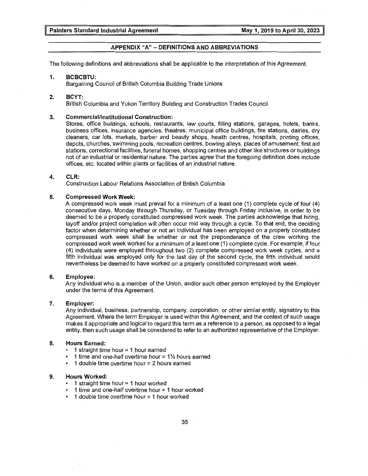#### **APPENDIX "A" - DEFINITIONS AND ABBREVIATIONS**

The following definitions and abbreviations shall be applicable to the interpretation of this Agreement.

#### **1. BCBCBTU:**

Bargaining Council of British Columbia Building Trade Unions

#### **2. BCYT:**

British Columbia and Yukon Territory Building and Construction Trades Council

#### **3. Commercial/Institutional Construction:**

Stores, office buildings, schools, restaurants, law courts, filling stations, garages, hotels, banks, business offices, insurance agencies, theatres, municipal office buildings, fire stations, dairies, dry cleaners, car lots, markets, barber and beauty shops, health centres, hospitals, printing offices, depots, churches, swimming pools, recreation centres, bowling alleys, places of amusement, first aid stations, correctional facilities, funeral homes, shopping centres and other like structures or buildings not of an industrial or residential nature. The parties agree that the foregoing definition does include offices, etc. located within plants or facilities of an industrial nature.

#### **4. CLR:**

Construction Labour Relations Association of British Columbia

#### **5. Compressed Work Week:**

A compressed work week must prevail for a minimum of a least one (1) complete cycle of four (4) consecutive days, Monday through Thursday, or Tuesday through Friday inclusive, in order to be deemed to be a properly constituted compressed work week. The parties acknowledge that hiring, layoff and/or project completion will often occur mid way through a cycle. To that end, the deciding factor when determining whether or not an individual has been employed on a properly constituted compressed work week shall be whether or not the preponderance of the crew working the compressed work week worked for a minimum of a least one (1) complete cycle. For example, if four (4) individuals were employed throughout two (2) complete compressed work week cycles, and a fifth individual was employed only for the last day of the second cycle, the fifth individual would nevertheless be deemed to have worked on a properly constituted compressed work week.

#### **6. Employee:**

Any individual who is a member of the Union, and/or such other person employed by the Employer under the terms of this Agreement.

#### **7. Employer:**

Any individual, business, partnership, company, corporation, or other similar entity, signatory to this Agreement. Where the term Employer is used within this Agreement, and the context of such usage makes it appropriate and logical to regard this term as a reference to a person, as opposed to a legal entity, then such usage shall be considered to refer to an authorized representative of the Employer.

#### **8. Hours Earned:**

- 1 straight time hour = 1 hour earned
- $\cdot$  1 time and one-half overtime hour = 1 $\frac{1}{2}$  hours earned
- 1 double time overtime hour = 2 hours earned

#### **9. Hours Worked:**

- 1 straight time hour = 1 hour worked
- 1 time and one-half overtime hour = 1 hour worked
- 1 double time overtime hour = 1 hour worked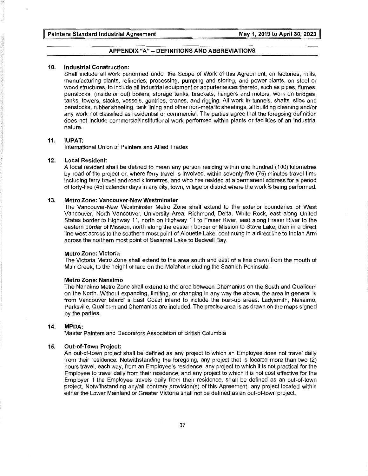#### **APPENDIX "A" - DEFINITIONS AND ABBREVIATIONS**

#### **10. Industrial Construction:**

Shall include all work performed under the Scope of Work of this Agreement, on factories, mills, manufacturing plants, refineries, processing, pumping and storing, and power plants, on steel or wood structures, to include all industrial equipment or appurtenances thereto, such as pipes, flumes, penstocks, (inside or out) boilers, storage tanks, brackets, hangers and motors, work on bridges, tanks, towers, stacks, vessels, gantries, cranes, and rigging. All work in tunnels, shafts, silos and penstocks, rubber sheeting, tank lining and other non-metallic sheetings, all building cleaning and/or any work not classified as residential or commercial. The parties agree that the foregoing definition does not include commercial/institutional work performed within plants or facilities of an industrial nature.

#### **11. IUPAT:**

International Union of Painters and Allied Trades

#### **12. Local Resident:**

A local resident shall be defined to mean any person residing within one hundred (100) kilometres by road of the project or, where ferry travel is involved, within seventy-five (75) minutes travel time including ferry travel and road kilometres, and who has resided at a permanent address for a period of forty-five (45) calendar days in any city, town, village or district where the work is being performed.

#### **13. Metro Zone: Vancouver-New Westminster**

The Vancouver-New Westminster Metro Zone shall extend to the exterior boundaries of West Vancouver, North Vancouver, University Area, Richmond, Delta, White Rock, east along United States border to Highway 11, north on Highway 11 to Fraser River, east along Fraser River to the eastern border of Mission, north along the eastern border of Mission to Stave Lake, then in a direct line west across to the southern most point of Alouette Lake, continuing in a direct line to Indian Arm across the northern most point of Sasamat Lake to Bedwell Bay.

#### **Metro Zone: Victoria**

The Victoria Metro Zone shall extend to the area south and east of a line drawn from the mouth of Muir Creek, to the height of land on the Malahat including the Saanich Peninsula.

#### **Metro Zone: Nanaimo**

The Nanaimo Metro Zone shall extend to the area between Chemanius on the South and Qualicum on the North. Without expanding, limiting, or changing in any way the above, the area in general is from Vancouver Island' s East Coast inland to include the built-up areas. Ladysmith, Nanaimo, Parksville, Qualicum and Chemanius are included. The precise area is as drawn on the maps signed by the parties.

#### **14. MPDA:**

Master Painters and Decorators Association of British Columbia

#### **15. Out-of-Town Project:**

An out-of-town project shall be defined as any project to which an Employee does not travel daily from their residence. Notwithstanding the foregoing, any project that is located more than two (2) hours travel, each way, from an Employee's residence, any project to which it is not practical for the Employee to travel daily from their residence, and any project to which it is not cost effective for the Employer if the Employee travels daily from their residence, shall be defined as an out-of-town project. Notwithstanding any/all contrary provision(s) of this Agreement, any project located within either the Lower Mainland or Greater Victoria shall not be defined as an out-of-town project.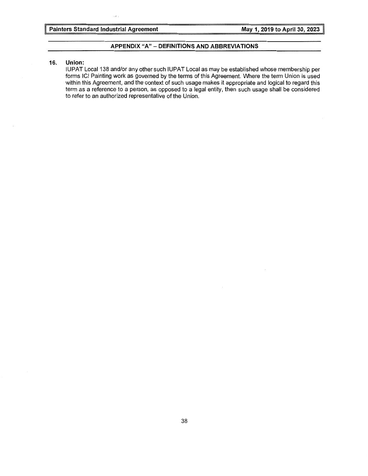#### **APPENDIX "A" - DEFINITIONS AND ABBREVIATIONS**

#### **16. Union:**

IUPAT Local 138 and/or any other such IUPAT Local as may be established whose membership per forms ICI Painting work as governed by the terms of this Agreement. Where the term Union is used within this Agreement, and the context of such usage makes it appropriate and logical to regard this term as a reference to a person, as opposed to a legal entity, then such usage shall be considered to refer to an authorized representative of the Union.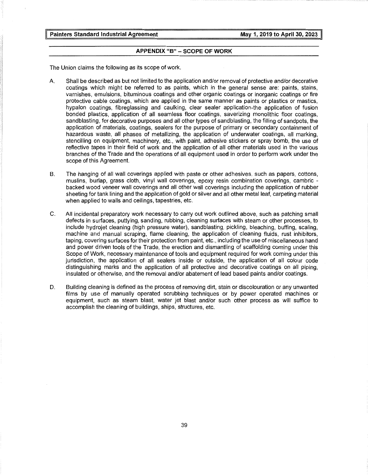#### **APPENDIX "B" - SCOPE OF WORK**

The Union claims the following as its scope of work.

- A. Shall be described as but not limited to the application and/or removal of protective and/or decorative coatings which might be referred to as paints, which in the general sense are: paints, stains, varnishes, emulsions, bituminous coatings and other organic coatings or inorganic coatings or fire protective cable coatings, which are applied in the same manner as paints or plastics or mastics, hypalon coatings, fibreglassing and caulking, clear sealer application-the application of fusion bonded plastics, application of all seamless floor coatings, saverizing monolithic floor coatings, sandblasting, for decorative purposes and all other types of sandblasting, the filling of sandpots, the application of materials, coatings, sealers for the purpose of primary or secondary containment of hazardous waste, all phases of metallizing, the application of underwater coatings, all marking, stencilling on equipment, machinery, etc., with paint, adhesive stickers or spray bomb, the use of reflective tapes in their field of work and the application of all other materials used in the various branches of the Trade and the operations of all equipment used in order to perform work under the scope of this Agreement.
- B. The hanging of all wall coverings applied with paste or other adhesives, such as papers, cottons, muslins, burlap, grass cloth, vinyl wall coverings, epoxy resin combination coverings, cambric backed wood veneer wall coverings and all other wall coverings including the application of rubber sheeting for tank lining and the application of gold or silver and all other metal leaf, carpeting material when applied to walls and ceilings, tapestries, etc.
- C. All incidental preparatory work necessary to carry out work outlined above, such as patching small defects in surfaces, puttying, sanding, rubbing, cleaning surfaces with steam or other processes, to include hydrojet cleaning (high pressure water), sandblasting, pickling, bleaching, buffing, scaling, machine and manual scraping, flame cleaning, the application of cleaning fluids, rust inhibitors, taping, covering surfaces for their protection from paint, etc., including the use of miscellaneous hand and power driven tools of the Trade, the erection and dismantling of scaffolding coming under this Scope of Work, necessary maintenance of tools and equipment required for work coming under this jurisdiction, the application of all sealers inside or outside, the application of all colour code distinguishing marks and the application of all protective and decorative coatings on all piping, insulated or otherwise, and the removal and/or abatement of lead based paints and/or coatings.
- D. Building cleaning is defined as the process of removing dirt, stain or discolouration or any unwanted films by use of manually operated scrubbing techniques or by power operated machines or equipment, such as steam blast, water jet blast and/or such other process as will suffice to accomplish the cleaning of buildings, ships, structures, etc.